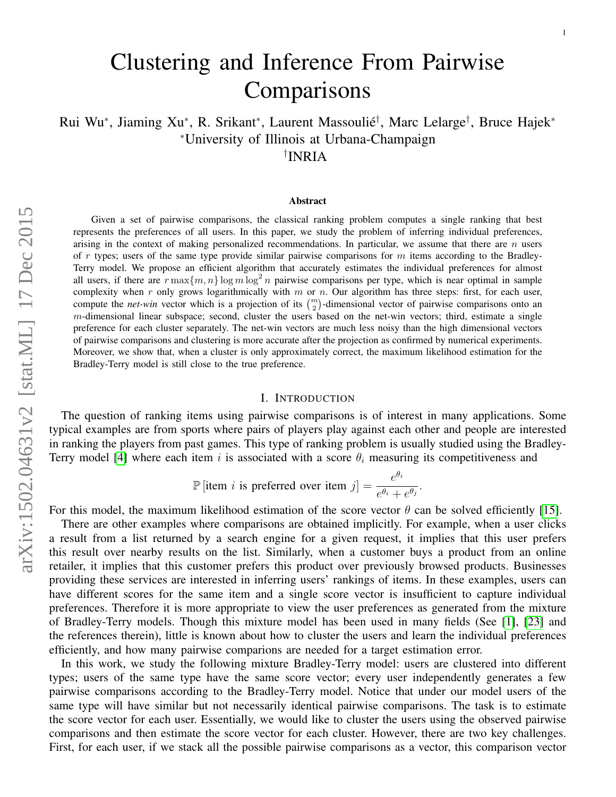# Clustering and Inference From Pairwise **Comparisons**

Rui Wu\*, Jiaming Xu\*, R. Srikant\*, Laurent Massoulié<sup>†</sup>, Marc Lelarge<sup>†</sup>, Bruce Hajek\* <sup>∗</sup>University of Illinois at Urbana-Champaign † INRIA

#### Abstract

Given a set of pairwise comparisons, the classical ranking problem computes a single ranking that best represents the preferences of all users. In this paper, we study the problem of inferring individual preferences, arising in the context of making personalized recommendations. In particular, we assume that there are  $n$  users of r types; users of the same type provide similar pairwise comparisons for m items according to the Bradley-Terry model. We propose an efficient algorithm that accurately estimates the individual preferences for almost all users, if there are  $r \max\{m, n\} \log m \log^2 n$  pairwise comparisons per type, which is near optimal in sample complexity when  $r$  only grows logarithmically with  $m$  or  $n$ . Our algorithm has three steps: first, for each user, compute the *net-win* vector which is a projection of its  $\binom{m}{2}$ -dimensional vector of pairwise comparisons onto an  $m$ -dimensional linear subspace; second, cluster the users based on the net-win vectors; third, estimate a single preference for each cluster separately. The net-win vectors are much less noisy than the high dimensional vectors of pairwise comparisons and clustering is more accurate after the projection as confirmed by numerical experiments. Moreover, we show that, when a cluster is only approximately correct, the maximum likelihood estimation for the Bradley-Terry model is still close to the true preference.

# I. INTRODUCTION

The question of ranking items using pairwise comparisons is of interest in many applications. Some typical examples are from sports where pairs of players play against each other and people are interested in ranking the players from past games. This type of ranking problem is usually studied using the Bradley-Terry model [\[4\]](#page-18-0) where each item i is associated with a score  $\theta_i$  measuring its competitiveness and

$$
\mathbb{P}\left[\text{item } i \text{ is preferred over item } j\right] = \frac{e^{\theta_i}}{e^{\theta_i} + e^{\theta_j}}
$$

.

For this model, the maximum likelihood estimation of the score vector  $\theta$  can be solved efficiently [\[15\]](#page-18-1).

There are other examples where comparisons are obtained implicitly. For example, when a user clicks a result from a list returned by a search engine for a given request, it implies that this user prefers this result over nearby results on the list. Similarly, when a customer buys a product from an online retailer, it implies that this customer prefers this product over previously browsed products. Businesses providing these services are interested in inferring users' rankings of items. In these examples, users can have different scores for the same item and a single score vector is insufficient to capture individual preferences. Therefore it is more appropriate to view the user preferences as generated from the mixture of Bradley-Terry models. Though this mixture model has been used in many fields (See [\[1\]](#page-18-2), [\[23\]](#page-18-3) and the references therein), little is known about how to cluster the users and learn the individual preferences efficiently, and how many pairwise comparions are needed for a target estimation error.

In this work, we study the following mixture Bradley-Terry model: users are clustered into different types; users of the same type have the same score vector; every user independently generates a few pairwise comparisons according to the Bradley-Terry model. Notice that under our model users of the same type will have similar but not necessarily identical pairwise comparisons. The task is to estimate the score vector for each user. Essentially, we would like to cluster the users using the observed pairwise comparisons and then estimate the score vector for each cluster. However, there are two key challenges. First, for each user, if we stack all the possible pairwise comparisons as a vector, this comparison vector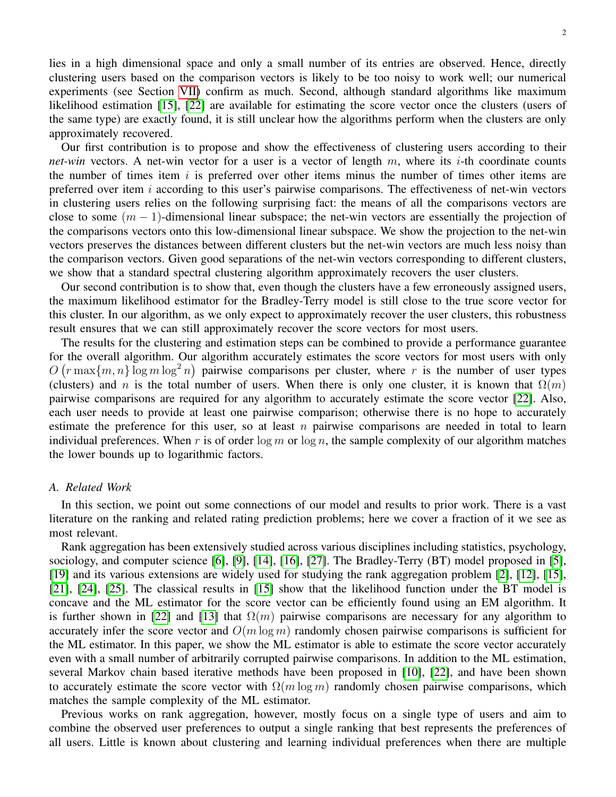lies in a high dimensional space and only a small number of its entries are observed. Hence, directly clustering users based on the comparison vectors is likely to be too noisy to work well; our numerical experiments (see Section [VII\)](#page-16-0) confirm as much. Second, although standard algorithms like maximum likelihood estimation [\[15\]](#page-18-1), [\[22\]](#page-18-4) are available for estimating the score vector once the clusters (users of the same type) are exactly found, it is still unclear how the algorithms perform when the clusters are only approximately recovered.

Our first contribution is to propose and show the effectiveness of clustering users according to their *net-win* vectors. A net-win vector for a user is a vector of length  $m$ , where its *i*-th coordinate counts the number of times item  $i$  is preferred over other items minus the number of times other items are preferred over item  $i$  according to this user's pairwise comparisons. The effectiveness of net-win vectors in clustering users relies on the following surprising fact: the means of all the comparisons vectors are close to some  $(m - 1)$ -dimensional linear subspace; the net-win vectors are essentially the projection of the comparisons vectors onto this low-dimensional linear subspace. We show the projection to the net-win vectors preserves the distances between different clusters but the net-win vectors are much less noisy than the comparison vectors. Given good separations of the net-win vectors corresponding to different clusters, we show that a standard spectral clustering algorithm approximately recovers the user clusters.

Our second contribution is to show that, even though the clusters have a few erroneously assigned users, the maximum likelihood estimator for the Bradley-Terry model is still close to the true score vector for this cluster. In our algorithm, as we only expect to approximately recover the user clusters, this robustness result ensures that we can still approximately recover the score vectors for most users.

The results for the clustering and estimation steps can be combined to provide a performance guarantee for the overall algorithm. Our algorithm accurately estimates the score vectors for most users with only  $O(r \max\{m, n\} \log m \log^2 n)$  pairwise comparisons per cluster, where r is the number of user types (clusters) and n is the total number of users. When there is only one cluster, it is known that  $\Omega(m)$ pairwise comparisons are required for any algorithm to accurately estimate the score vector [\[22\]](#page-18-4). Also, each user needs to provide at least one pairwise comparison; otherwise there is no hope to accurately estimate the preference for this user, so at least n pairwise comparisons are needed in total to learn individual preferences. When r is of order  $\log m$  or  $\log n$ , the sample complexity of our algorithm matches the lower bounds up to logarithmic factors.

# *A. Related Work*

In this section, we point out some connections of our model and results to prior work. There is a vast literature on the ranking and related rating prediction problems; here we cover a fraction of it we see as most relevant.

Rank aggregation has been extensively studied across various disciplines including statistics, psychology, sociology, and computer science [\[6\]](#page-18-5), [\[9\]](#page-18-6), [\[14\]](#page-18-7), [\[16\]](#page-18-8), [\[27\]](#page-19-0). The Bradley-Terry (BT) model proposed in [\[5\]](#page-18-9), [\[19\]](#page-18-10) and its various extensions are widely used for studying the rank aggregation problem [\[2\]](#page-18-11), [\[12\]](#page-18-12), [\[15\]](#page-18-1), [\[21\]](#page-18-13), [\[24\]](#page-18-14), [\[25\]](#page-18-15). The classical results in [\[15\]](#page-18-1) show that the likelihood function under the BT model is concave and the ML estimator for the score vector can be efficiently found using an EM algorithm. It is further shown in [\[22\]](#page-18-4) and [\[13\]](#page-18-16) that  $\Omega(m)$  pairwise comparisons are necessary for any algorithm to accurately infer the score vector and  $O(m \log m)$  randomly chosen pairwise comparisons is sufficient for the ML estimator. In this paper, we show the ML estimator is able to estimate the score vector accurately even with a small number of arbitrarily corrupted pairwise comparisons. In addition to the ML estimation, several Markov chain based iterative methods have been proposed in [\[10\]](#page-18-17), [\[22\]](#page-18-4), and have been shown to accurately estimate the score vector with  $\Omega(m \log m)$  randomly chosen pairwise comparisons, which matches the sample complexity of the ML estimator.

Previous works on rank aggregation, however, mostly focus on a single type of users and aim to combine the observed user preferences to output a single ranking that best represents the preferences of all users. Little is known about clustering and learning individual preferences when there are multiple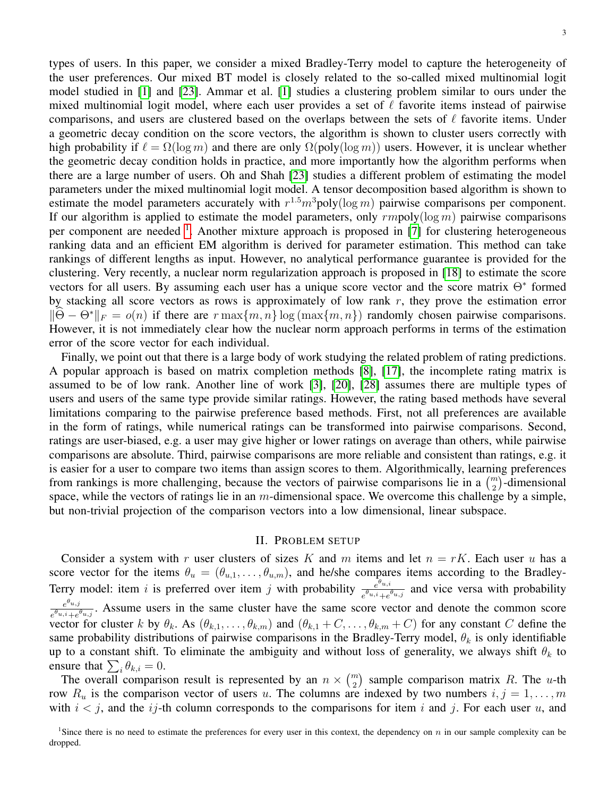types of users. In this paper, we consider a mixed Bradley-Terry model to capture the heterogeneity of the user preferences. Our mixed BT model is closely related to the so-called mixed multinomial logit model studied in [\[1\]](#page-18-2) and [\[23\]](#page-18-3). Ammar et al. [\[1\]](#page-18-2) studies a clustering problem similar to ours under the mixed multinomial logit model, where each user provides a set of  $\ell$  favorite items instead of pairwise comparisons, and users are clustered based on the overlaps between the sets of  $\ell$  favorite items. Under a geometric decay condition on the score vectors, the algorithm is shown to cluster users correctly with high probability if  $\ell = \Omega(\log m)$  and there are only  $\Omega(\text{poly}(\log m))$  users. However, it is unclear whether the geometric decay condition holds in practice, and more importantly how the algorithm performs when there are a large number of users. Oh and Shah [\[23\]](#page-18-3) studies a different problem of estimating the model parameters under the mixed multinomial logit model. A tensor decomposition based algorithm is shown to estimate the model parameters accurately with  $r^{1.5}m^3$ poly(log m) pairwise comparisons per component. If our algorithm is applied to estimate the model parameters, only  $rmpoly(log m)$  pairwise comparisons per component are needed <sup>[1](#page-2-0)</sup>. Another mixture approach is proposed in [\[7\]](#page-18-18) for clustering heterogeneous ranking data and an efficient EM algorithm is derived for parameter estimation. This method can take rankings of different lengths as input. However, no analytical performance guarantee is provided for the clustering. Very recently, a nuclear norm regularization approach is proposed in [\[18\]](#page-18-19) to estimate the score vectors for all users. By assuming each user has a unique score vector and the score matrix  $\Theta^*$  formed by stacking all score vectors as rows is approximately of low rank  $r$ , they prove the estimation error  $\|\Theta - \Theta^*\|_F = o(n)$  if there are  $r \max\{m, n\} \log(\max\{m, n\})$  randomly chosen pairwise comparisons. However, it is not immediately clear how the nuclear norm approach performs in terms of the estimation error of the score vector for each individual.

Finally, we point out that there is a large body of work studying the related problem of rating predictions. A popular approach is based on matrix completion methods [\[8\]](#page-18-20), [\[17\]](#page-18-21), the incomplete rating matrix is assumed to be of low rank. Another line of work [\[3\]](#page-18-22), [\[20\]](#page-18-23), [\[28\]](#page-19-1) assumes there are multiple types of users and users of the same type provide similar ratings. However, the rating based methods have several limitations comparing to the pairwise preference based methods. First, not all preferences are available in the form of ratings, while numerical ratings can be transformed into pairwise comparisons. Second, ratings are user-biased, e.g. a user may give higher or lower ratings on average than others, while pairwise comparisons are absolute. Third, pairwise comparisons are more reliable and consistent than ratings, e.g. it is easier for a user to compare two items than assign scores to them. Algorithmically, learning preferences from rankings is more challenging, because the vectors of pairwise comparisons lie in a  $\binom{m}{2}$ -dimensional space, while the vectors of ratings lie in an  $m$ -dimensional space. We overcome this challenge by a simple, but non-trivial projection of the comparison vectors into a low dimensional, linear subspace.

## II. PROBLEM SETUP

Consider a system with r user clusters of sizes K and m items and let  $n = rK$ . Each user u has a score vector for the items  $\theta_u = (\theta_{u,1}, \dots, \theta_{u,m})$ , and he/she compares items according to the Bradley-Terry model: item i is preferred over item j with probability  $e^{e^{u_i t}}$  $\frac{e^{u}u^{i}}{e^{\theta u_{i}i}+e^{\theta u_{i}j}}$  and vice versa with probability  $e^{\theta_{u,j}}$  $\frac{e^{-u_{u,j}}}{e^{\theta_{u,i}}+e^{\theta_{u,j}}}$ . Assume users in the same cluster have the same score vector and denote the common score vector for cluster k by  $\theta_k$ . As  $(\theta_{k,1}, \ldots, \theta_{k,m})$  and  $(\theta_{k,1} + C, \ldots, \theta_{k,m} + C)$  for any constant C define the same probability distributions of pairwise comparisons in the Bradley-Terry model,  $\theta_k$  is only identifiable up to a constant shift. To eliminate the ambiguity and without loss of generality, we always shift  $\theta_k$  to ensure that  $\sum_i \theta_{k,i} = 0$ .

The overall comparison result is represented by an  $n \times \binom{m}{2}$  sample comparison matrix R. The u-th row  $R_u$  is the comparison vector of users u. The columns are indexed by two numbers  $i, j = 1, \ldots, m$ with  $i < j$ , and the ij-th column corresponds to the comparisons for item i and j. For each user u, and

<span id="page-2-0"></span><sup>&</sup>lt;sup>1</sup>Since there is no need to estimate the preferences for every user in this context, the dependency on  $n$  in our sample complexity can be dropped.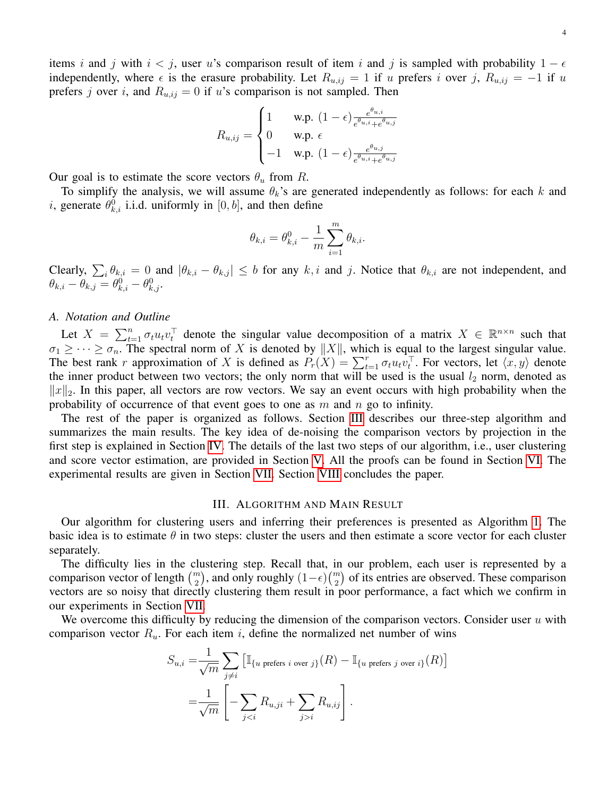items i and j with  $i < j$ , user u's comparison result of item i and j is sampled with probability  $1 - \epsilon$ independently, where  $\epsilon$  is the erasure probability. Let  $R_{u,ij} = 1$  if u prefers i over j,  $R_{u,ij} = -1$  if u prefers j over i, and  $R_{u,ij} = 0$  if u's comparison is not sampled. Then

$$
R_{u,ij} = \begin{cases} 1 & \text{w.p. } (1 - \epsilon) \frac{e^{\theta_{u,i}}}{e^{\theta_{u,i}} + e^{\theta_{u,j}}}
$$
\n
$$
0 & \text{w.p. } \epsilon
$$
\n
$$
-1 & \text{w.p. } (1 - \epsilon) \frac{e^{\theta_{u,j}}}{e^{\theta_{u,i}} + e^{\theta_{u,j}}}
$$

Our goal is to estimate the score vectors  $\theta_u$  from R.

To simplify the analysis, we will assume  $\theta_k$ 's are generated independently as follows: for each k and *i*, generate  $\theta_{k,i}^0$  i.i.d. uniformly in [0, *b*], and then define

$$
\theta_{k,i}=\theta_{k,i}^0-\frac{1}{m}\sum_{i=1}^m\theta_{k,i}.
$$

Clearly,  $\sum_i \theta_{k,i} = 0$  and  $|\theta_{k,i} - \theta_{k,j}| \leq b$  for any  $k, i$  and j. Notice that  $\theta_{k,i}$  are not independent, and  $\theta_{k,i} - \theta_{k,j} = \theta_{k,i}^0 - \theta_{k,j}^0.$ 

# *A. Notation and Outline*

Let  $X = \sum_{t=1}^n \sigma_t u_t v_t^{\top}$  denote the singular value decomposition of a matrix  $X \in \mathbb{R}^{n \times n}$  such that  $\sigma_1 \geq \cdots \geq \sigma_n$ . The spectral norm of X is denoted by  $||X||$ , which is equal to the largest singular value. The best rank r approximation of X is defined as  $P_r(X) = \sum_{t=1}^r \sigma_t u_t v_t^{\top}$ . For vectors, let  $\langle x, y \rangle$  denote the inner product between two vectors; the only norm that will be used is the usual  $l_2$  norm, denoted as  $||x||_2$ . In this paper, all vectors are row vectors. We say an event occurs with high probability when the probability of occurrence of that event goes to one as  $m$  and  $n$  go to infinity.

The rest of the paper is organized as follows. Section [III](#page-3-0) describes our three-step algorithm and summarizes the main results. The key idea of de-noising the comparison vectors by projection in the first step is explained in Section [IV.](#page-6-0) The details of the last two steps of our algorithm, i.e., user clustering and score vector estimation, are provided in Section [V.](#page-8-0) All the proofs can be found in Section [VI.](#page-10-0) The experimental results are given in Section [VII.](#page-16-0) Section [VIII](#page-18-24) concludes the paper.

#### III. ALGORITHM AND MAIN RESULT

<span id="page-3-0"></span>Our algorithm for clustering users and inferring their preferences is presented as Algorithm [1.](#page-4-0) The basic idea is to estimate  $\theta$  in two steps: cluster the users and then estimate a score vector for each cluster separately.

The difficulty lies in the clustering step. Recall that, in our problem, each user is represented by a comparison vector of length  $\binom{m}{2}$ , and only roughly  $(1-\epsilon)\binom{m}{2}$  of its entries are observed. These comparison vectors are so noisy that directly clustering them result in poor performance, a fact which we confirm in our experiments in Section [VII.](#page-16-0)

We overcome this difficulty by reducing the dimension of the comparison vectors. Consider user  $u$  with comparison vector  $R_u$ . For each item i, define the normalized net number of wins

$$
S_{u,i} = \frac{1}{\sqrt{m}} \sum_{j \neq i} \left[ \mathbb{I}_{\{u \text{ prefers } i \text{ over } j\}}(R) - \mathbb{I}_{\{u \text{ prefers } j \text{ over } i\}}(R) \right]
$$

$$
= \frac{1}{\sqrt{m}} \left[ -\sum_{j < i} R_{u,ji} + \sum_{j > i} R_{u,ij} \right].
$$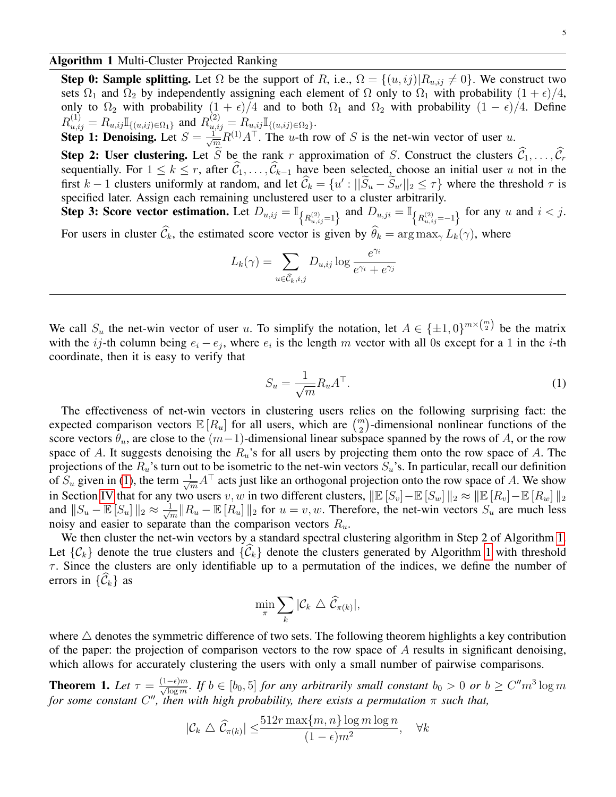<span id="page-4-0"></span>Algorithm 1 Multi-Cluster Projected Ranking

Step 0: Sample splitting. Let  $\Omega$  be the support of R, i.e.,  $\Omega = \{(u, ij) | R_{u, ij} \neq 0\}$ . We construct two sets  $\Omega_1$  and  $\Omega_2$  by independently assigning each element of  $\Omega$  only to  $\Omega_1$  with probability  $(1 + \epsilon)/4$ , only to  $\Omega_2$  with probability  $(1 + \epsilon)/4$  and to both  $\Omega_1$  and  $\Omega_2$  with probability  $(1 - \epsilon)/4$ . Define  $R_{u,ij}^{(1)} = R_{u,ij} \mathbb{I}_{\{(u,ij)\in\Omega_1\}}$  and  $R_{u,ij}^{(2)} = R_{u,ij} \mathbb{I}_{\{(u,ij)\in\Omega_2\}}$ .

**Step 1: Denoising.** Let  $S = \frac{1}{\sqrt{m}} R^{(1)} A^{\top}$ . The u-th row of S is the net-win vector of user u.

**Step 2: User clustering.** Let S be the rank r approximation of S. Construct the clusters  $\widehat{C}_1, \ldots, \widehat{C}_r$ sequentially. For  $1 \le k \le r$ , after  $\widehat{C}_1, \ldots, \widehat{C}_{k-1}$  have been selected, choose an initial user u not in the first  $k-1$  clusters uniformly at random, and let  $\hat{C}_k = \{u' : ||\tilde{S}_u - \tilde{S}_{u'}||_2 \leq \tau\}$  where the threshold  $\tau$  is specified later. Assign each remaining unclustered user to a cluster arbitrarily.

Step 3: Score vector estimation. Let  $D_{u,ij} = \mathbb{I}_{\left\{R_{u,ij}^{(2)}=1\right\}}$  and  $D_{u,ji} = \mathbb{I}_{\left\{R_{u,ij}^{(2)}=-1\right\}}$  for any u and  $i < j$ . For users in cluster  $\widehat{\mathcal{C}}_k$ , the estimated score vector is given by  $\widehat{\theta}_k = \arg \max_{\gamma} L_k(\gamma)$ , where

$$
L_k(\gamma) = \sum_{u \in \widehat{C}_k, i, j} D_{u, ij} \log \frac{e^{\gamma_i}}{e^{\gamma_i} + e^{\gamma_j}}
$$

We call  $S_u$  the net-win vector of user u. To simplify the notation, let  $A \in {\pm 1, 0}^{m \times {m \choose 2}}$  be the matrix with the ij-th column being  $e_i - e_j$ , where  $e_i$  is the length m vector with all 0s except for a 1 in the i-th coordinate, then it is easy to verify that

<span id="page-4-1"></span>
$$
S_u = \frac{1}{\sqrt{m}} R_u A^\top.
$$
\n<sup>(1)</sup>

The effectiveness of net-win vectors in clustering users relies on the following surprising fact: the expected comparison vectors  $\mathbb{E}[R_u]$  for all users, which are  $\binom{m}{2}$ -dimensional nonlinear functions of the score vectors  $\theta_u$ , are close to the  $(m-1)$ -dimensional linear subspace spanned by the rows of A, or the row space of A. It suggests denoising the  $R_u$ 's for all users by projecting them onto the row space of A. The projections of the  $R_u$ 's turn out to be isometric to the net-win vectors  $S_u$ 's. In particular, recall our definition of  $S_u$  given in [\(1\)](#page-4-1), the term  $\frac{1}{\sqrt{m}}A^{\top}$  acts just like an orthogonal projection onto the row space of A. We show in Section [IV](#page-6-0) that for any two users v, w in two different clusters,  $\|\mathbb{E}[S_v]-\mathbb{E}[S_w]\|_2 \approx \|\mathbb{E}[R_v]-\mathbb{E}[R_w]\|_2$ and  $||S_u - \mathbb{E}[S_u]||_2 \approx \frac{1}{\sqrt{2}}$  $\frac{1}{m} ||R_u - \mathbb{E}[R_u]||_2$  for  $u = v, w$ . Therefore, the net-win vectors  $S_u$  are much less noisy and easier to separate than the comparison vectors  $R_u$ .

We then cluster the net-win vectors by a standard spectral clustering algorithm in Step 2 of Algorithm [1.](#page-4-0) Let  $\{\mathcal{C}_k\}$  denote the true clusters and  $\{\widehat{\mathcal{C}}_k\}$  denote the clusters generated by Algorithm [1](#page-4-0) with threshold  $\tau$ . Since the clusters are only identifiable up to a permutation of the indices, we define the number of errors in  $\{\mathcal{C}_k\}$  as

$$
\min_{\pi} \sum_{k} |\mathcal{C}_{k}| \triangleq \widehat{\mathcal{C}}_{\pi(k)}|,
$$

where  $\triangle$  denotes the symmetric difference of two sets. The following theorem highlights a key contribution of the paper: the projection of comparison vectors to the row space of  $A$  results in significant denoising, which allows for accurately clustering the users with only a small number of pairwise comparisons.

<span id="page-4-2"></span>**Theorem 1.** Let  $\tau = \frac{(1-\epsilon)m}{\sqrt{\log m}}$ . If  $b \in [b_0, 5]$  for any arbitrarily small constant  $b_0 > 0$  or  $b \ge C'' m^3 \log m$ *for some constant* C <sup>00</sup>*, then with high probability, there exists a permutation* π *such that,*

$$
|\mathcal{C}_k \bigtriangleup \widehat{\mathcal{C}}_{\pi(k)}| \leq \frac{512r \max\{m, n\} \log m \log n}{(1 - \epsilon)m^2}, \quad \forall k
$$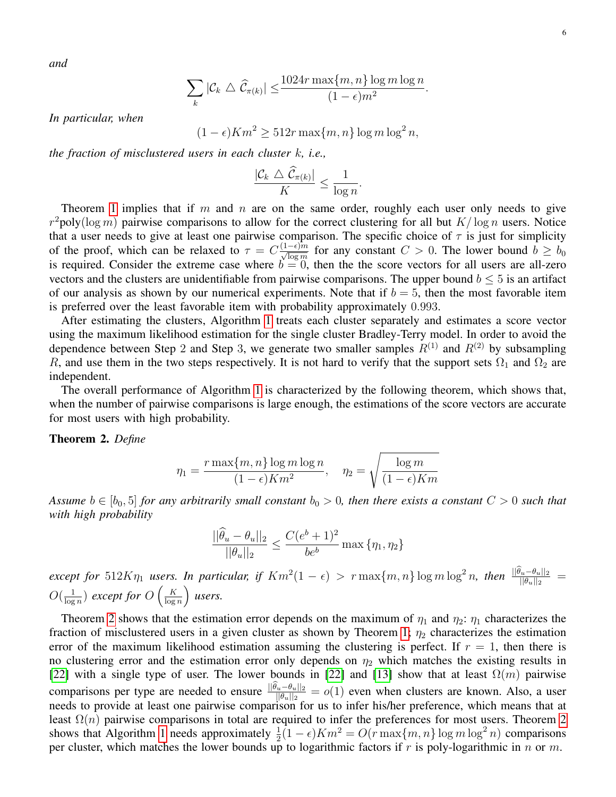*and*

$$
\sum_{k} |\mathcal{C}_k \bigtriangleup \widehat{\mathcal{C}}_{\pi(k)}| \leq \frac{1024r \max\{m, n\} \log m \log n}{(1 - \epsilon)m^2}.
$$

*In particular, when*

 $(1 - \epsilon)Km^2 > 512r \max\{m, n\} \log m \log^2 n$ ,

*the fraction of misclustered users in each cluster* k*, i.e.,*

$$
\frac{|\mathcal{C}_k \bigtriangleup \widehat{\mathcal{C}}_{\pi(k)}|}{K} \le \frac{1}{\log n}.
$$

Theorem [1](#page-4-2) implies that if m and n are on the same order, roughly each user only needs to give  $r^2$ poly(log m) pairwise comparisons to allow for the correct clustering for all but  $K/\log n$  users. Notice that a user needs to give at least one pairwise comparison. The specific choice of  $\tau$  is just for simplicity of the proof, which can be relaxed to  $\tau = C \frac{(1-\epsilon)m}{\sqrt{\log m}}$  for any constant  $C > 0$ . The lower bound  $b \ge b_0$ is required. Consider the extreme case where  $b = 0$ , then the the score vectors for all users are all-zero vectors and the clusters are unidentifiable from pairwise comparisons. The upper bound  $b \leq 5$  is an artifact of our analysis as shown by our numerical experiments. Note that if  $b = 5$ , then the most favorable item is preferred over the least favorable item with probability approximately 0.993.

After estimating the clusters, Algorithm [1](#page-4-0) treats each cluster separately and estimates a score vector using the maximum likelihood estimation for the single cluster Bradley-Terry model. In order to avoid the dependence between Step 2 and Step 3, we generate two smaller samples  $R^{(1)}$  and  $R^{(2)}$  by subsampling R, and use them in the two steps respectively. It is not hard to verify that the support sets  $\Omega_1$  and  $\Omega_2$  are independent.

The overall performance of Algorithm [1](#page-4-0) is characterized by the following theorem, which shows that, when the number of pairwise comparisons is large enough, the estimations of the score vectors are accurate for most users with high probability.

# <span id="page-5-0"></span>Theorem 2. *Define*

$$
\eta_1 = \frac{r \max\{m, n\} \log m \log n}{(1 - \epsilon) K m^2}, \quad \eta_2 = \sqrt{\frac{\log m}{(1 - \epsilon) K m}}
$$

*Assume*  $b \in [b_0, 5]$  *for any arbitrarily small constant*  $b_0 > 0$ *, then there exists a constant*  $C > 0$  *such that with high probability*

$$
\frac{||\hat{\theta}_u - \theta_u||_2}{||\theta_u||_2} \le \frac{C(e^b + 1)^2}{be^b} \max{\{\eta_1, \eta_2\}}
$$

 $\epsilon$ *xcept for*  $512K\eta_1$  *users. In particular, if*  $Km^2(1-\epsilon) > r \max\{m,n\} \log m \log^2 n$ *, then*  $\frac{||\theta_u - \theta_u||_2}{||\theta_u||_2}$  =  $O(\frac{1}{\log n})$  $\frac{1}{\log n}$ ) except for  $O\left(\frac{K}{\log n}\right)$  $\frac{K}{\log n}$  users.

Theorem [2](#page-5-0) shows that the estimation error depends on the maximum of  $\eta_1$  and  $\eta_2$ :  $\eta_1$  characterizes the fraction of misclustered users in a given cluster as shown by Theorem [1;](#page-4-2)  $\eta_2$  characterizes the estimation error of the maximum likelihood estimation assuming the clustering is perfect. If  $r = 1$ , then there is no clustering error and the estimation error only depends on  $\eta_2$  which matches the existing results in [\[22\]](#page-18-4) with a single type of user. The lower bounds in [22] and [\[13\]](#page-18-16) show that at least  $\Omega(m)$  pairwise comparisons per type are needed to ensure  $\frac{||\theta_u - \theta_u||_2}{||\theta_u||_2} = o(1)$  even when clusters are known. Also, a user needs to provide at least one pairwise comparison for us to infer his/her preference, which means that at least  $\Omega(n)$  pairwise comparisons in total are required to infer the preferences for most users. Theorem [2](#page-5-0) shows that Algorithm [1](#page-4-0) needs approximately  $\frac{1}{2}(1-\epsilon)Km^2 = O(r \max\{m,n\} \log m \log^2 n)$  comparisons per cluster, which matches the lower bounds up to logarithmic factors if r is poly-logarithmic in n or m.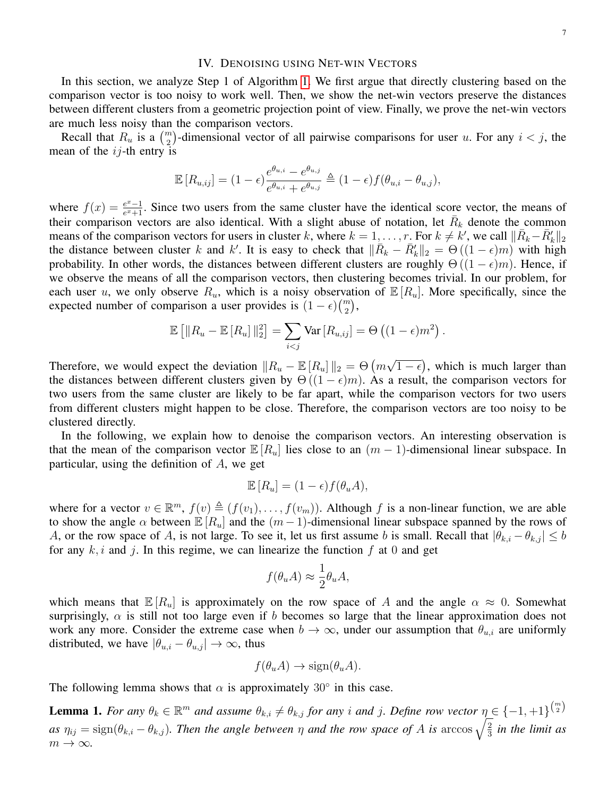### IV. DENOISING USING NET-WIN VECTORS

<span id="page-6-0"></span>In this section, we analyze Step 1 of Algorithm [1.](#page-4-0) We first argue that directly clustering based on the comparison vector is too noisy to work well. Then, we show the net-win vectors preserve the distances between different clusters from a geometric projection point of view. Finally, we prove the net-win vectors are much less noisy than the comparison vectors.

Recall that  $R_u$  is a  $\binom{m}{2}$ -dimensional vector of all pairwise comparisons for user u. For any  $i < j$ , the mean of the  $ij$ -th entry is

$$
\mathbb{E}\left[R_{u,ij}\right] = (1-\epsilon)\frac{e^{\theta_{u,i}} - e^{\theta_{u,j}}}{e^{\theta_{u,i}} + e^{\theta_{u,j}}} \triangleq (1-\epsilon)f(\theta_{u,i} - \theta_{u,j}),
$$

where  $f(x) = \frac{e^x - 1}{e^x + 1}$  $\frac{e^{x}-1}{e^{x}+1}$ . Since two users from the same cluster have the identical score vector, the means of their comparison vectors are also identical. With a slight abuse of notation, let  $\bar{R}_k$  denote the common means of the comparison vectors for users in cluster k, where  $k = 1, \dots, r$ . For  $k \neq k'$ , we call  $\|\bar{R}_k - \bar{R}'_k\|_2$ the distance between cluster k and k'. It is easy to check that  $\|\overline{R}_k - \overline{R}'_k\|_2 = \Theta((1 - \epsilon)m)$  with high probability. In other words, the distances between different clusters are roughly  $\Theta((1-\epsilon)m)$ . Hence, if we observe the means of all the comparison vectors, then clustering becomes trivial. In our problem, for each user u, we only observe  $R_u$ , which is a noisy observation of  $\mathbb{E}[R_u]$ . More specifically, since the expected number of comparison a user provides is  $(1 - \epsilon) {m \choose 2}$ ,

$$
\mathbb{E}\left[\|R_u - \mathbb{E}\left[R_u\right]\|_2^2\right] = \sum_{i < j} \text{Var}\left[R_{u,ij}\right] = \Theta\left((1-\epsilon)m^2\right).
$$

Therefore, we would expect the deviation  $||R_u - \mathbb{E}[R_u]||_2 = \Theta(m)$ √  $\overline{1-\epsilon}$ , which is much larger than the distances between different clusters given by  $\Theta((1-\epsilon)m)$ . As a result, the comparison vectors for two users from the same cluster are likely to be far apart, while the comparison vectors for two users from different clusters might happen to be close. Therefore, the comparison vectors are too noisy to be clustered directly.

In the following, we explain how to denoise the comparison vectors. An interesting observation is that the mean of the comparison vector  $\mathbb{E}[R_u]$  lies close to an  $(m-1)$ -dimensional linear subspace. In particular, using the definition of A, we get

$$
\mathbb{E}[R_u] = (1 - \epsilon)f(\theta_u A),
$$

where for a vector  $v \in \mathbb{R}^m$ ,  $f(v) \triangleq (f(v_1), \ldots, f(v_m))$ . Although f is a non-linear function, we are able to show the angle  $\alpha$  between  $\mathbb{E}[R_u]$  and the  $(m-1)$ -dimensional linear subspace spanned by the rows of A, or the row space of A, is not large. To see it, let us first assume b is small. Recall that  $|\theta_{k,i} - \theta_{k,j}| \leq b$ for any  $k, i$  and j. In this regime, we can linearize the function f at 0 and get

$$
f(\theta_u A) \approx \frac{1}{2} \theta_u A,
$$

which means that  $\mathbb{E}[R_u]$  is approximately on the row space of A and the angle  $\alpha \approx 0$ . Somewhat surprisingly,  $\alpha$  is still not too large even if b becomes so large that the linear approximation does not work any more. Consider the extreme case when  $b \to \infty$ , under our assumption that  $\theta_{u,i}$  are uniformly distributed, we have  $|\theta_{u,i} - \theta_{u,j}| \to \infty$ , thus

$$
f(\theta_u A) \to \text{sign}(\theta_u A).
$$

The following lemma shows that  $\alpha$  is approximately 30° in this case.

<span id="page-6-1"></span>**Lemma 1.** For any  $\theta_k \in \mathbb{R}^m$  and assume  $\theta_{k,i} \neq \theta_{k,j}$  for any i and j. Define row vector  $\eta \in \{-1, +1\}^{\binom{m}{2}}$  $as\ \eta_{ij}=\text{sign}(\theta_{k,i}-\theta_{k,j})$ . Then the angle between  $\eta$  and the row space of A is  $\arccos\sqrt{\frac{2}{3}}$  $rac{2}{3}$  in the limit as  $m \to \infty$ .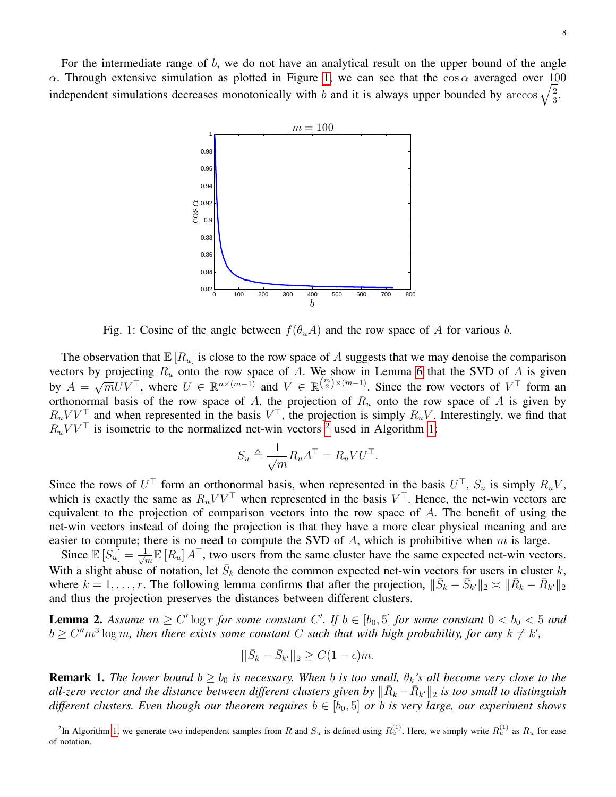<span id="page-7-0"></span>For the intermediate range of  $b$ , we do not have an analytical result on the upper bound of the angle α. Through extensive simulation as plotted in Figure [1,](#page-7-0) we can see that the  $cos α$  averaged over 100 independent simulations decreases monotonically with b and it is always upper bounded by arccos  $\sqrt{\frac{2}{3}}$  $\frac{2}{3}$ .



Fig. 1: Cosine of the angle between  $f(\theta_uA)$  and the row space of A for various b.

The observation that  $\mathbb{E}[R_u]$  is close to the row space of A suggests that we may denoise the comparison vectors by projecting  $R_u$  onto the row space of A. We show in Lemma [6](#page-12-0) that the SVD of A is given by  $A =$  $\sqrt{m}UV^{\top}$ , where  $U \in \mathbb{R}^{n \times (m-1)}$  and  $V \in \mathbb{R}^{\binom{m}{2} \times (m-1)}$ . Since the row vectors of  $V^{\top}$  form and orthonormal basis of the row space of A, the projection of  $R_u$  onto the row space of A is given by  $R_u V V^{\top}$  and when represented in the basis  $V^{\top}$ , the projection is simply  $R_u V$ . Interestingly, we find that  $R_u^{\text{W}} V^{\top}$  is isometric to the normalized net-win vectors <sup>[2](#page-7-1)</sup> used in Algorithm [1:](#page-4-0)

$$
S_u \triangleq \frac{1}{\sqrt{m}} R_u A^{\top} = R_u V U^{\top}.
$$

Since the rows of  $U^{\top}$  form an orthonormal basis, when represented in the basis  $U^{\top}$ ,  $S_u$  is simply  $R_uV$ , which is exactly the same as  $R_u V V^{\top}$  when represented in the basis  $V^{\top}$ . Hence, the net-win vectors are equivalent to the projection of comparison vectors into the row space of  $A$ . The benefit of using the net-win vectors instead of doing the projection is that they have a more clear physical meaning and are easier to compute; there is no need to compute the SVD of  $A$ , which is prohibitive when  $m$  is large.

Since  $\mathbb{E}[S_u] = \frac{1}{\sqrt{2}}$  $\frac{1}{m}\mathbb{E}[R_u] A^{\top}$ , two users from the same cluster have the same expected net-win vectors. With a slight abuse of notation, let  $\bar{S}_k$  denote the common expected net-win vectors for users in cluster k, where  $k = 1, \ldots, r$ . The following lemma confirms that after the projection,  $\|\bar{S}_k - \bar{S}_{k'}\|_2 \approx \|\bar{R}_k - \bar{R}_{k'}\|_2$ and thus the projection preserves the distances between different clusters.

<span id="page-7-2"></span>**Lemma 2.** Assume  $m \geq C' \log r$  for some constant  $C'$ . If  $b \in [b_0, 5]$  for some constant  $0 < b_0 < 5$  and  $b \geq C''m^3 \log m$ , then there exists some constant C such that with high probability, for any  $k \neq k'$ ,

$$
||\bar{S}_k - \bar{S}_{k'}||_2 \ge C(1 - \epsilon)m.
$$

**Remark 1.** *The lower bound*  $b \ge b_0$  *is necessary. When b is too small,*  $\theta_k$ *'s all become very close to the* all-zero vector and the distance between different clusters given by  $\|\bar R_k - \bar R_{k'} \|_2$  is too small to distinguish *different clusters. Even though our theorem requires*  $b \in [b_0, 5]$  *or b is very large, our experiment shows* 

<span id="page-7-1"></span><sup>2</sup>In Algorithm [1,](#page-4-0) we generate two independent samples from R and  $S_u$  is defined using  $R_u^{(1)}$ . Here, we simply write  $R_u^{(1)}$  as  $R_u$  for ease of notation.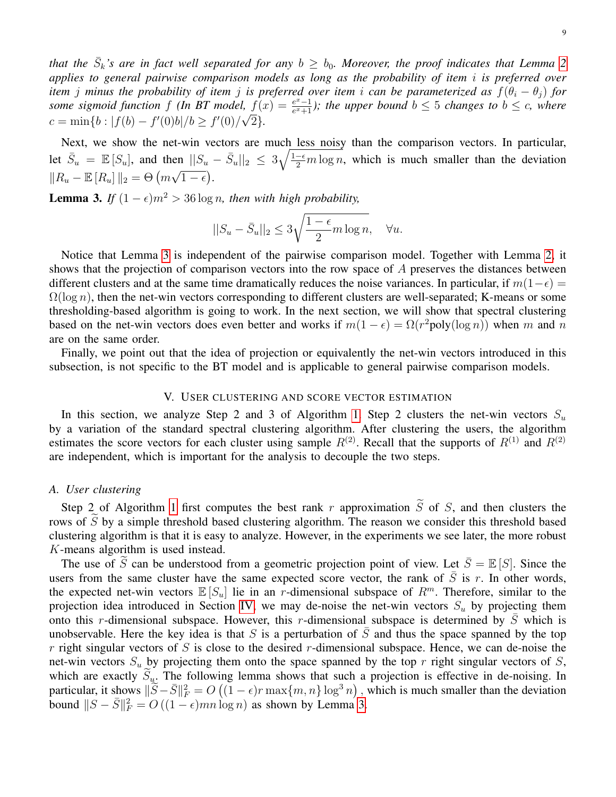that the  $\bar{S}_k$ 's are in fact well separated for any  $b\,\geq\, b_0.$  Moreover, the proof indicates that Lemma [2](#page-7-2) *applies to general pairwise comparison models as long as the probability of item* i *is preferred over item j minus the probability of item j is preferred over item i can be parameterized as*  $f(\theta_i - \theta_j)$  *for some sigmoid function* f *(In BT model,*  $f(x) = \frac{e^x - 1}{e^x + 1}$  $\mathcal{L}(f, f(x)) = \frac{e^x - 1}{e^x + 1}$ ; the upper bound  $b \leq 5$  changes to  $b \leq c$ , where  $c = \min\{b : |f(b) - f'(0)b|/b \ge f'(0)/\sqrt{2}\}.$ 

Next, we show the net-win vectors are much less noisy than the comparison vectors. In particular, let  $\bar{S}_u = \mathbb{E}[S_u]$ , and then  $||S_u - \bar{S}_u||_2 \leq 3\sqrt{\frac{1-\epsilon}{2}m \log n}$ , which is much smaller than the deviation  $||R_u - \mathbb{E}[R_u]||_2 = \Theta(m\sqrt{1-\epsilon}).$ 

<span id="page-8-1"></span>**Lemma 3.** *If*  $(1 - \epsilon)m^2 > 36 \log n$ , then with high probability,

$$
||S_u - \bar{S}_u||_2 \le 3\sqrt{\frac{1-\epsilon}{2}m\log n}, \quad \forall u.
$$

Notice that Lemma [3](#page-8-1) is independent of the pairwise comparison model. Together with Lemma [2,](#page-7-2) it shows that the projection of comparison vectors into the row space of A preserves the distances between different clusters and at the same time dramatically reduces the noise variances. In particular, if  $m(1-\epsilon)$  =  $\Omega(\log n)$ , then the net-win vectors corresponding to different clusters are well-separated; K-means or some thresholding-based algorithm is going to work. In the next section, we will show that spectral clustering based on the net-win vectors does even better and works if  $m(1 - \epsilon) = \Omega(r^2 \text{poly}(\log n))$  when m and n are on the same order.

Finally, we point out that the idea of projection or equivalently the net-win vectors introduced in this subsection, is not specific to the BT model and is applicable to general pairwise comparison models.

# V. USER CLUSTERING AND SCORE VECTOR ESTIMATION

<span id="page-8-0"></span>In this section, we analyze Step 2 and 3 of Algorithm [1.](#page-4-0) Step 2 clusters the net-win vectors  $S_u$ by a variation of the standard spectral clustering algorithm. After clustering the users, the algorithm estimates the score vectors for each cluster using sample  $R^{(2)}$ . Recall that the supports of  $R^{(1)}$  and  $R^{(2)}$ are independent, which is important for the analysis to decouple the two steps.

## *A. User clustering*

Step 2 of Algorithm [1](#page-4-0) first computes the best rank r approximation  $\tilde{S}$  of S, and then clusters the rows of  $S$  by a simple threshold based clustering algorithm. The reason we consider this threshold based clustering algorithm is that it is easy to analyze. However, in the experiments we see later, the more robust K-means algorithm is used instead.

The use of  $\tilde{S}$  can be understood from a geometric projection point of view. Let  $\bar{S} = \mathbb{E}[S]$ . Since the users from the same cluster have the same expected score vector, the rank of  $\bar{S}$  is r. In other words, the expected net-win vectors  $\mathbb{E}[S_u]$  lie in an r-dimensional subspace of  $R^m$ . Therefore, similar to the projection idea introduced in Section [IV,](#page-6-0) we may de-noise the net-win vectors  $S_u$  by projecting them onto this r-dimensional subspace. However, this r-dimensional subspace is determined by  $\overline{S}$  which is unobservable. Here the key idea is that S is a perturbation of  $\overline{S}$  and thus the space spanned by the top r right singular vectors of S is close to the desired r-dimensional subspace. Hence, we can de-noise the net-win vectors  $S_u$  by projecting them onto the space spanned by the top r right singular vectors of S, which are exactly  $S_u$ . The following lemma shows that such a projection is effective in de-noising. In particular, it shows  $\|\tilde{S} - \bar{S}\|^2_F = O((1 - \epsilon)r \max\{m, n\} \log^3 n)$ , which is much smaller than the deviation bound  $||S - \overline{S}||_F^2 = O((1 - \epsilon)mn \log n)$  as shown by Lemma [3.](#page-8-1)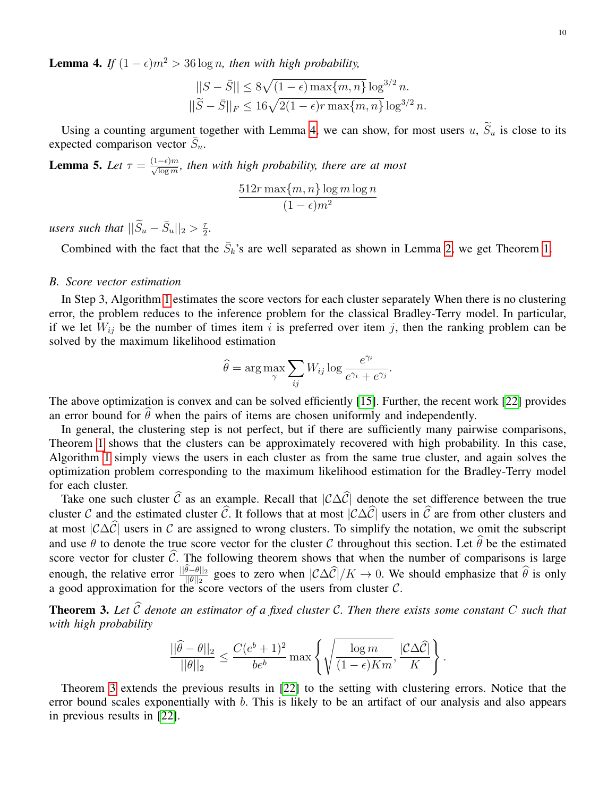<span id="page-9-0"></span>**Lemma 4.** *If*  $(1 - \epsilon)m^2 > 36 \log n$ , then with high probability,

$$
||S - \bar{S}|| \le 8\sqrt{(1 - \epsilon) \max\{m, n\}} \log^{3/2} n.
$$
  

$$
||\widetilde{S} - \bar{S}||_F \le 16\sqrt{2(1 - \epsilon)r \max\{m, n\}} \log^{3/2} n.
$$

Using a counting argument together with Lemma [4,](#page-9-0) we can show, for most users u,  $\widetilde{S}_u$  is close to its expected comparison vector  $\bar{S}_u$ .

<span id="page-9-2"></span>**Lemma 5.** Let  $\tau = \frac{(1-\epsilon)m}{\sqrt{\log m}}$ , then with high probability, there are at most

$$
\frac{512r \max\{m, n\} \log m \log n}{(1 - \epsilon)m^2}
$$

*users such that*  $||\widetilde{S}_u - \bar{S}_u||_2 > \frac{\tau}{2}$ . 2

Combined with the fact that the  $\bar{S}_k$ 's are well separated as shown in Lemma [2,](#page-7-2) we get Theorem [1.](#page-4-2)

# *B. Score vector estimation*

In Step 3, Algorithm [1](#page-4-0) estimates the score vectors for each cluster separately When there is no clustering error, the problem reduces to the inference problem for the classical Bradley-Terry model. In particular, if we let  $W_{ij}$  be the number of times item i is preferred over item j, then the ranking problem can be solved by the maximum likelihood estimation

$$
\widehat{\theta} = \arg \max_{\gamma} \sum_{ij} W_{ij} \log \frac{e^{\gamma_i}}{e^{\gamma_i} + e^{\gamma_j}}.
$$

The above optimization is convex and can be solved efficiently [\[15\]](#page-18-1). Further, the recent work [\[22\]](#page-18-4) provides an error bound for  $\hat{\theta}$  when the pairs of items are chosen uniformly and independently.

In general, the clustering step is not perfect, but if there are sufficiently many pairwise comparisons, Theorem [1](#page-4-2) shows that the clusters can be approximately recovered with high probability. In this case, Algorithm [1](#page-4-0) simply views the users in each cluster as from the same true cluster, and again solves the optimization problem corresponding to the maximum likelihood estimation for the Bradley-Terry model for each cluster.

Take one such cluster  $\hat{C}$  as an example. Recall that  $|C\Delta\hat{C}|$  denote the set difference between the true cluster C and the estimated cluster  $\widehat{C}$ . It follows that at most  $|\mathcal{C}\Delta\widehat{C}|$  users in  $\widehat{C}$  are from other clusters and at most  $|C\Delta\hat{C}|$  users in C are assigned to wrong clusters. To simplify the notation, we omit the subscript and use  $\theta$  to denote the true score vector for the cluster C throughout this section. Let  $\hat{\theta}$  be the estimated score vector for cluster  $\hat{C}$ . The following theorem shows that when the number of comparisons is large enough, the relative error  $\frac{\|\theta-\theta\|_2}{\|\theta\|_2}$  goes to zero when  $\left|\mathcal{C}\Delta\hat{\mathcal{C}}\right|/K \to 0$ . We should emphasize that  $\hat{\theta}$  is only a good approximation for the score vectors of the users from cluster  $C$ .

<span id="page-9-1"></span>**Theorem 3.** Let  $\widehat{C}$  denote an estimator of a fixed cluster C. Then there exists some constant C such that *with high probability*

$$
\frac{||\widehat{\theta} - \theta||_2}{||\theta||_2} \le \frac{C(e^b + 1)^2}{be^b} \max \left\{ \sqrt{\frac{\log m}{(1 - \epsilon)Km}}, \frac{|\mathcal{C}\Delta \widehat{\mathcal{C}}|}{K} \right\}.
$$

Theorem [3](#page-9-1) extends the previous results in [\[22\]](#page-18-4) to the setting with clustering errors. Notice that the error bound scales exponentially with  $b$ . This is likely to be an artifact of our analysis and also appears in previous results in [\[22\]](#page-18-4).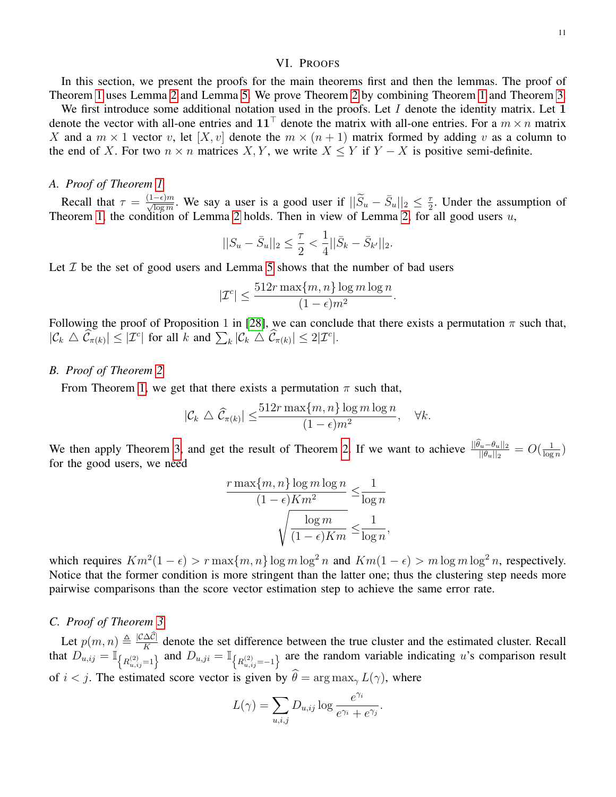## VI. PROOFS

<span id="page-10-0"></span>In this section, we present the proofs for the main theorems first and then the lemmas. The proof of Theorem [1](#page-4-2) uses Lemma [2](#page-7-2) and Lemma [5.](#page-9-2) We prove Theorem [2](#page-5-0) by combining Theorem [1](#page-4-2) and Theorem [3.](#page-9-1)

We first introduce some additional notation used in the proofs. Let I denote the identity matrix. Let 1 denote the vector with all-one entries and  $11^{\top}$  denote the matrix with all-one entries. For a  $m \times n$  matrix X and a  $m \times 1$  vector v, let  $[X, v]$  denote the  $m \times (n + 1)$  matrix formed by adding v as a column to the end of X. For two  $n \times n$  matrices X, Y, we write  $X \leq Y$  if  $Y - X$  is positive semi-definite.

## *A. Proof of Theorem [1](#page-4-2)*

Recall that  $\tau = \frac{(1-\epsilon)m}{\sqrt{\log m}}$ . We say a user is a good user if  $||\widetilde{S}_u - \overline{S}_u||_2 \le \frac{\tau}{2}$  $\frac{\tau}{2}$ . Under the assumption of Theorem [1,](#page-4-2) the condition of Lemma [2](#page-7-2) holds. Then in view of Lemma [2,](#page-7-2) for all good users  $u$ ,

$$
||S_u - \bar{S}_u||_2 \le \frac{\tau}{2} < \frac{1}{4} ||\bar{S}_k - \bar{S}_{k'}||_2.
$$

Let  $I$  be the set of good users and Lemma [5](#page-9-2) shows that the number of bad users

$$
|\mathcal{I}^c| \le \frac{512r \max\{m, n\} \log m \log n}{(1 - \epsilon)m^2}.
$$

Following the proof of Proposition 1 in [\[28\]](#page-19-1), we can conclude that there exists a permutation  $\pi$  such that,  $|\mathcal{C}_k \bigtriangleup \widehat{\mathcal{C}}_{\pi(k)}| \leq |\mathcal{I}^c|$  for all k and  $\sum_k |\mathcal{C}_k \bigtriangleup \widehat{\mathcal{C}}_{\pi(k)}| \leq 2|\mathcal{I}^c|.$ 

# *B. Proof of Theorem [2](#page-5-0)*

From Theorem [1,](#page-4-2) we get that there exists a permutation  $\pi$  such that,

$$
|\mathcal{C}_k \bigtriangleup \widehat{\mathcal{C}}_{\pi(k)}| \leq \frac{512r \max\{m, n\} \log m \log n}{(1 - \epsilon)m^2}, \quad \forall k.
$$

We then apply Theorem [3,](#page-9-1) and get the result of Theorem [2.](#page-5-0) If we want to achieve  $\frac{||\theta_u - \theta_u||_2}{||\theta_u||_2} = O(\frac{1}{\log n})$  $\frac{1}{\log n}$ for the good users, we need

$$
\frac{r \max\{m, n\} \log m \log n}{(1 - \epsilon) K m^2} \le \frac{1}{\log n}
$$

$$
\sqrt{\frac{\log m}{(1 - \epsilon) K m}} \le \frac{1}{\log n},
$$

which requires  $Km^2(1-\epsilon) > r \max\{m, n\} \log m \log^2 n$  and  $Km(1-\epsilon) > m \log m \log^2 n$ , respectively. Notice that the former condition is more stringent than the latter one; thus the clustering step needs more pairwise comparisons than the score vector estimation step to achieve the same error rate.

# *C. Proof of Theorem [3](#page-9-1)*

Let  $p(m, n) \triangleq \frac{|C\Delta C|}{K}$  denote the set difference between the true cluster and the estimated cluster. Recall that  $D_{u,i,j} = \mathbb{I}_{\left\{R_{u,i,j}^{(2)}=1\right\}}$  and  $D_{u,j,i} = \mathbb{I}_{\left\{R_{u,i,j}^{(2)}=-1\right\}}$  are the random variable indicating u's comparison result of  $i < j$ . The estimated score vector is given by  $\hat{\theta} = \arg \max_{\gamma} L(\gamma)$ , where

$$
L(\gamma) = \sum_{u,i,j} D_{u,ij} \log \frac{e^{\gamma_i}}{e^{\gamma_i} + e^{\gamma_j}}.
$$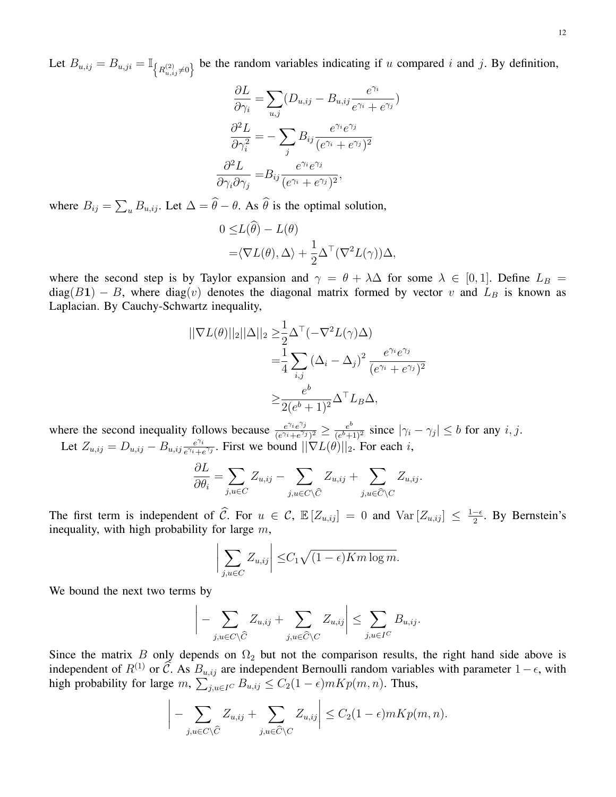Let  $B_{u,j} = B_{u,j} = \mathbb{I}_{\left\{R_{u,j}^{(2)} \neq 0\right\}}$  be the random variables indicating if u compared i and j. By definition,

$$
\frac{\partial L}{\partial \gamma_i} = \sum_{u,j} (D_{u,ij} - B_{u,ij} \frac{e^{\gamma_i}}{e^{\gamma_i} + e^{\gamma_j}})
$$

$$
\frac{\partial^2 L}{\partial \gamma_i^2} = -\sum_j B_{ij} \frac{e^{\gamma_i} e^{\gamma_j}}{(e^{\gamma_i} + e^{\gamma_j})^2}
$$

$$
\frac{\partial^2 L}{\partial \gamma_i \partial \gamma_j} = B_{ij} \frac{e^{\gamma_i} e^{\gamma_j}}{(e^{\gamma_i} + e^{\gamma_j})^2},
$$

where  $B_{ij} = \sum_{u} B_{u,ij}$ . Let  $\Delta = \theta - \theta$ . As  $\theta$  is the optimal solution,

$$
0 \leq L(\theta) - L(\theta)
$$
  
= $\langle \nabla L(\theta), \Delta \rangle + \frac{1}{2} \Delta^{\top} (\nabla^2 L(\gamma)) \Delta,$ 

where the second step is by Taylor expansion and  $\gamma = \theta + \lambda \Delta$  for some  $\lambda \in [0, 1]$ . Define  $L_B =$  $diag(B1) - B$ , where diag(v) denotes the diagonal matrix formed by vector v and  $L_B$  is known as Laplacian. By Cauchy-Schwartz inequality,

$$
\begin{aligned} ||\nabla L(\theta)||_2||\Delta||_2 &\geq \frac{1}{2} \Delta^{\top} (-\nabla^2 L(\gamma)\Delta) \\ &= \frac{1}{4} \sum_{i,j} (\Delta_i - \Delta_j)^2 \frac{e^{\gamma_i} e^{\gamma_j}}{(e^{\gamma_i} + e^{\gamma_j})^2} \\ &\geq \frac{e^b}{2(e^b + 1)^2} \Delta^{\top} L_B \Delta, \end{aligned}
$$

where the second inequality follows because  $e^{\epsilon i e^{i\theta} i}$  $\frac{e^{\gamma_i}e^{\gamma_j}}{(e^{\gamma_i}+e^{\gamma_j})^2}\geq \frac{e^b}{(e^b+1)}$  $\frac{e^{b}}{(e^{b}+1)^2}$  since  $|\gamma_i - \gamma_j| \leq b$  for any *i*, *j*.

Let  $Z_{u,ij} = D_{u,ij} - B_{u,ij} \frac{e^{\gamma_i}}{e^{\gamma_i} + c_i}$  $\frac{e^{\gamma_i}}{e^{\gamma_i}+e^{\gamma_j}}$ . First we bound  $||\nabla L(\theta)||_2$ . For each *i*,

$$
\frac{\partial L}{\partial \theta_i} = \sum_{j, u \in C} Z_{u, ij} - \sum_{j, u \in C \setminus \widehat{C}} Z_{u, ij} + \sum_{j, u \in \widehat{C} \setminus C} Z_{u, ij}.
$$

The first term is independent of  $\widehat{C}$ . For  $u \in C$ ,  $\mathbb{E}[Z_{u,ij}] = 0$  and  $\text{Var}[Z_{u,ij}] \leq \frac{1-\epsilon}{2}$  $\frac{-\epsilon}{2}$ . By Bernstein's inequality, with high probability for large  $m$ ,

$$
\left| \sum_{j,u \in C} Z_{u,ij} \right| \leq C_1 \sqrt{(1-\epsilon)Km \log m}.
$$

We bound the next two terms by

$$
\left| - \sum_{j,u \in C \setminus \widehat{C}} Z_{u,ij} + \sum_{j,u \in \widehat{C} \setminus C} Z_{u,ij} \right| \leq \sum_{j,u \in I^C} B_{u,ij}.
$$

Since the matrix B only depends on  $\Omega_2$  but not the comparison results, the right hand side above is independent of  $R^{(1)}$  or  $\widehat{C}$ . As  $B_{u,ij}$  are independent Bernoulli random variables with parameter  $1-\epsilon$ , with high probability for large  $m$ ,  $\sum_{j,u \in I^C} B_{u,ij} \leq C_2(1-\epsilon)mKp(m,n)$ . Thus,

$$
\left| - \sum_{j,u \in C \setminus \widehat{C}} Z_{u,ij} + \sum_{j,u \in \widehat{C} \setminus C} Z_{u,ij} \right| \leq C_2 (1 - \epsilon) m K p(m,n).
$$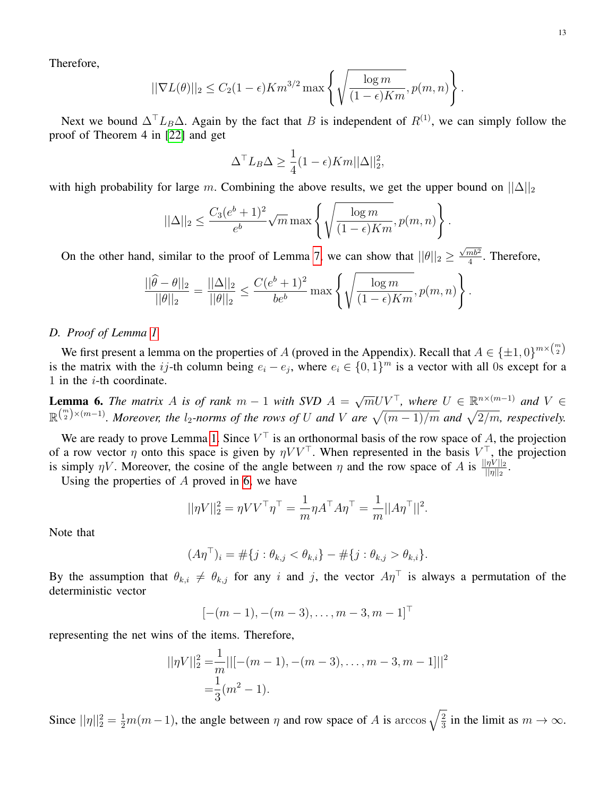Therefore,

$$
||\nabla L(\theta)||_2 \le C_2(1-\epsilon)Km^{3/2}\max\left\{\sqrt{\frac{\log m}{(1-\epsilon)Km}}, p(m,n)\right\}.
$$

Next we bound  $\Delta^{\top} L_B \Delta$ . Again by the fact that B is independent of  $R^{(1)}$ , we can simply follow the proof of Theorem 4 in [\[22\]](#page-18-4) and get

$$
\Delta^{\top} L_B \Delta \ge \frac{1}{4} (1 - \epsilon) K m ||\Delta||_2^2,
$$

with high probability for large m. Combining the above results, we get the upper bound on  $||\Delta||_2$ 

$$
||\Delta||_2 \le \frac{C_3(e^b+1)^2}{e^b} \sqrt{m} \max \left\{ \sqrt{\frac{\log m}{(1-\epsilon)Km}}, p(m,n) \right\}.
$$

On the other hand, similar to the proof of Lemma [7,](#page-13-0) we can show that  $||\theta||_2 \ge$  $\sqrt{mb^2}$  $\frac{mb^2}{4}$ . Therefore,

$$
\frac{||\widehat{\theta} - \theta||_2}{||\theta||_2} = \frac{||\Delta||_2}{||\theta||_2} \le \frac{C(e^b + 1)^2}{be^b} \max \left\{ \sqrt{\frac{\log m}{(1 - \epsilon)Km}}, p(m, n) \right\}.
$$

# *D. Proof of Lemma [1](#page-6-1)*

We first present a lemma on the properties of A (proved in the Appendix). Recall that  $A \in {\pm 1,0}^{m \times {m \choose 2}}$ is the matrix with the ij-th column being  $e_i - e_j$ , where  $e_i \in \{0,1\}^m$  is a vector with all 0s except for a 1 in the  $i$ -th coordinate.

<span id="page-12-0"></span>**Lemma 6.** *The matrix* A *is of rank*  $m - 1$  *with SVD*  $A =$  $\sqrt{m}UV^{\top}$ , where  $U \in \mathbb{R}^{n \times (m-1)}$  and  $V \in$  $\mathbb{R}^{m \choose 2} \times (m-1)$ . Moreover, the l<sub>2</sub>-norms of the rows of U and V are  $\sqrt{(m-1)/m}$  and  $\sqrt{2/m}$ , respectively.

We are ready to prove Lemma [1.](#page-6-1) Since  $V^{\top}$  is an orthonormal basis of the row space of A, the projection of a row vector  $\eta$  onto this space is given by  $\eta V V^{\top}$ . When represented in the basis  $V^{\top}$ , the projection is simply  $\eta V$ . Moreover, the cosine of the angle between  $\eta$  and the row space of A is  $\frac{||\eta V||_2}{||\eta||_2}$ .

Using the properties of  $A$  proved in [6,](#page-12-0) we have

$$
||\eta V||_2^2 = \eta V V^\top \eta^\top = \frac{1}{m} \eta A^\top A \eta^\top = \frac{1}{m} ||A\eta^\top||^2.
$$

Note that

$$
(A\eta^{\top})_i = \#\{j : \theta_{k,j} < \theta_{k,i}\} - \#\{j : \theta_{k,j} > \theta_{k,i}\}.
$$

By the assumption that  $\theta_{k,i} \neq \theta_{k,j}$  for any i and j, the vector  $A\eta$ <sup>T</sup> is always a permutation of the deterministic vector

$$
[-(m-1), -(m-3), \ldots, m-3, m-1]^\top
$$

representing the net wins of the items. Therefore,

$$
||\eta V||_2^2 = \frac{1}{m} ||[-(m-1), -(m-3), \dots, m-3, m-1]||^2
$$
  
=  $\frac{1}{3}(m^2 - 1).$ 

Since  $||\eta||_2^2 = \frac{1}{2}m(m-1)$ , the angle between  $\eta$  and row space of A is arccos  $\sqrt{\frac{2}{3}}$  $\frac{2}{3}$  in the limit as  $m \to \infty$ .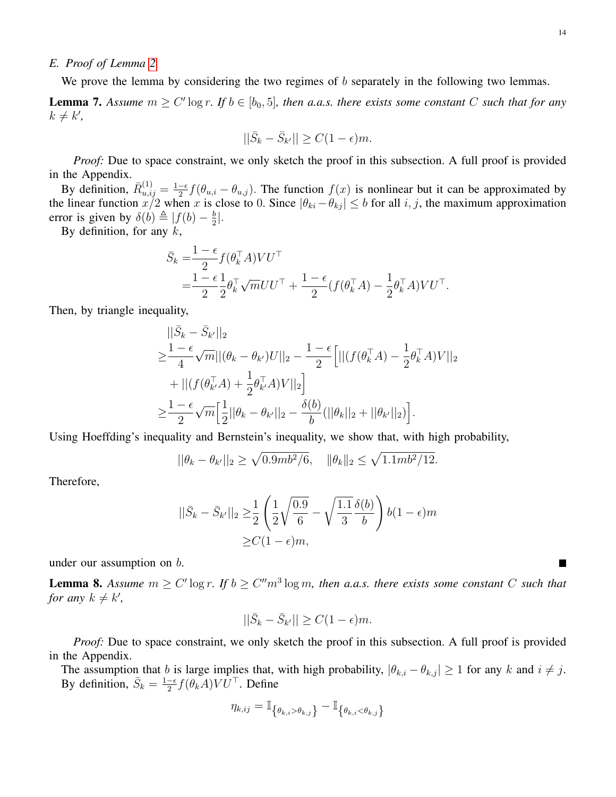## *E. Proof of Lemma [2](#page-7-2)*

We prove the lemma by considering the two regimes of  $b$  separately in the following two lemmas.

<span id="page-13-0"></span>**Lemma 7.** Assume  $m \geq C' \log r$ . If  $b \in [b_0, 5]$ , then a.a.s. there exists some constant C such that for any  $k \neq k'$ ,

$$
||\bar{S}_k - \bar{S}_{k'}|| \ge C(1 - \epsilon)m.
$$

*Proof:* Due to space constraint, we only sketch the proof in this subsection. A full proof is provided in the Appendix.

By definition,  $\bar{R}_{u,ij}^{(1)} = \frac{1-\epsilon}{2}$  $\frac{-\epsilon}{2} f(\theta_{u,i} - \theta_{u,j})$ . The function  $f(x)$  is nonlinear but it can be approximated by the linear function  $x/2$  when x is close to 0. Since  $|\theta_{ki} - \theta_{kj}| \leq b$  for all  $i, j$ , the maximum approximation error is given by  $\delta(b) \triangleq |f(b) - \frac{b}{2}$  $\frac{b}{2}$ .

By definition, for any  $k$ ,

$$
\bar{S}_k = \frac{1 - \epsilon}{2} f(\theta_k^{\top} A) V U^{\top} \n= \frac{1 - \epsilon}{2} \frac{1}{2} \theta_k^{\top} \sqrt{m} U U^{\top} + \frac{1 - \epsilon}{2} (f(\theta_k^{\top} A) - \frac{1}{2} \theta_k^{\top} A) V U^{\top}.
$$

Then, by triangle inequality,

$$
\begin{split} &||\bar{S}_k - \bar{S}_{k'}||_2\\ \geq & \frac{1-\epsilon}{4}\sqrt{m}||(\theta_k - \theta_{k'})U||_2 - \frac{1-\epsilon}{2}\Big[||(f(\theta_k^{\top}A) - \frac{1}{2}\theta_k^{\top}A)V||_2\\ & + ||(f(\theta_{k'}^{\top}A) + \frac{1}{2}\theta_{k'}^{\top}A)V||_2\Big] \\ \geq & \frac{1-\epsilon}{2}\sqrt{m}\Big[\frac{1}{2}||\theta_k - \theta_{k'}||_2 - \frac{\delta(b)}{b}(||\theta_k||_2 + ||\theta_{k'}||_2)\Big]. \end{split}
$$

Using Hoeffding's inequality and Bernstein's inequality, we show that, with high probability,

$$
||\theta_k - \theta_{k'}||_2 \ge \sqrt{0.9mb^2/6}, \quad ||\theta_k||_2 \le \sqrt{1.1mb^2/12}.
$$

Therefore,

$$
||\bar{S}_k - \bar{S}_{k'}||_2 \ge \frac{1}{2} \left( \frac{1}{2} \sqrt{\frac{0.9}{6}} - \sqrt{\frac{1.1}{3}} \frac{\delta(b)}{b} \right) b(1 - \epsilon)m
$$
  
 
$$
\ge C(1 - \epsilon)m,
$$

under our assumption on b.

**Lemma 8.** Assume  $m \geq C' \log r$ . If  $b \geq C'' m^3 \log m$ , then a.a.s. there exists some constant C such that *for any*  $k \neq k'$ ,

$$
||\bar{S}_k - \bar{S}_{k'}|| \ge C(1 - \epsilon)m.
$$

*Proof:* Due to space constraint, we only sketch the proof in this subsection. A full proof is provided in the Appendix.

The assumption that b is large implies that, with high probability,  $|\theta_{k,i} - \theta_{k,j}| \ge 1$  for any k and  $i \ne j$ . By definition,  $\overline{S}_k = \frac{1-\epsilon}{2}$  $\frac{-\epsilon}{2} f(\theta_k A) V U^{\top}$ . Define

$$
\eta_{k,ij} = \mathbb{I}_{\left\{\theta_{k,i} > \theta_{k,j}\right\}} - \mathbb{I}_{\left\{\theta_{k,i} < \theta_{k,j}\right\}}
$$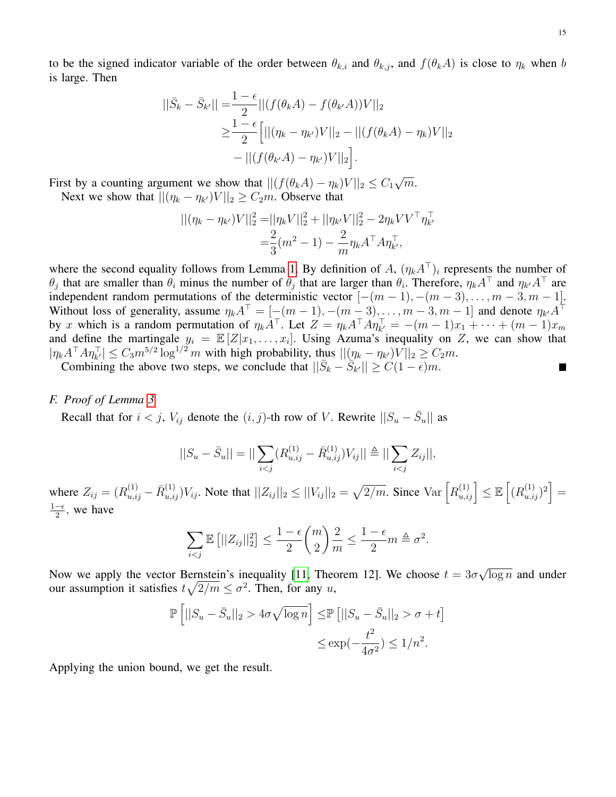to be the signed indicator variable of the order between  $\theta_{k,i}$  and  $\theta_{k,j}$ , and  $f(\theta_k A)$  is close to  $\eta_k$  when b is large. Then

$$
||\bar{S}_k - \bar{S}_{k'}|| = \frac{1 - \epsilon}{2} ||(f(\theta_k A) - f(\theta_{k'} A))V||_2
$$
  
\n
$$
\geq \frac{1 - \epsilon}{2} [||(\eta_k - \eta_{k'})V||_2 - ||(f(\theta_k A) - \eta_k)V||_2
$$
  
\n
$$
- ||(f(\theta_{k'} A) - \eta_{k'})V||_2].
$$

First by a counting argument we show that  $||(f(\theta_k A) - \eta_k)V||_2 \leq C_1$ √  $\overline{m}$ .

Next we show that  $||(\eta_k - \eta_{k'})V||_2 \geq C_2 m$ . Observe that

$$
\begin{aligned} ||(\eta_k - \eta_{k'})V||_2^2 &= ||\eta_k V||_2^2 + ||\eta_{k'} V||_2^2 - 2\eta_k V V^\top \eta_{k'}^\top \\ &= \frac{2}{3}(m^2 - 1) - \frac{2}{m} \eta_k A^\top A \eta_{k'}^\top, \end{aligned}
$$

where the second equality follows from Lemma [1.](#page-6-1) By definition of A,  $(\eta_k A^{\dagger})_i$  represents the number of  $\theta_j$  that are smaller than  $\theta_i$  minus the number of  $\theta_j$  that are larger than  $\theta_i$ . Therefore,  $\eta_k A^\top$  and  $\eta_{k'} A^\top$  are independent random permutations of the deterministic vector  $[-(m-1), -(m-3), \ldots, m-3, m-1]$ . Without loss of generality, assume  $\eta_k A^{\top} = [-(m-1), -(m-3), \dots, m-3, m-1]$  and denote  $\eta_{k'} A^{\top}$ by x which is a random permutation of  $\eta_k A^{\top}$ . Let  $Z = \eta_k A^{\top} A \eta_{k'}^{\top} = -(m-1)x_1 + \cdots + (m-1)x_m$ and define the martingale  $y_i = \mathbb{E}[Z|x_1,\ldots,x_i]$ . Using Azuma's inequality on Z, we can show that  $|\eta_k A^\top A \eta_{k'}^\top| \leq C_3 m^{5/2} \log^{1/2} m$  with high probability, thus  $||(\eta_k - \eta_{k'})V||_2 \geq C_2 m$ . Г

Combining the above two steps, we conclude that  $||\bar{S}_k - \overline{\tilde{S}_{k'}}|| \geq C(1 - \epsilon)m$ .

## *F. Proof of Lemma [3](#page-8-1)*

Recall that for  $i < j$ ,  $V_{ij}$  denote the  $(i, j)$ -th row of V. Rewrite  $||S_u - \bar{S}_u||$  as

$$
||S_u - \bar{S}_u|| = ||\sum_{i < j} (R_{u,ij}^{(1)} - \bar{R}_{u,ij}^{(1)}) V_{ij}|| \triangleq ||\sum_{i < j} Z_{ij}||,
$$

where  $Z_{ij} = (R_{u,ij}^{(1)} - \bar{R}_{u,ij}^{(1)})V_{ij}$ . Note that  $||Z_{ij}||_2 \le ||V_{ij}||_2 = \sqrt{2/m}$ . Since  $Var\left[R_{u,ij}^{(1)}\right] \le \mathbb{E}\left[(R_{u,ij}^{(1)})^2\right] =$  $1-\epsilon$  $\frac{-\epsilon}{2}$ , we have

$$
\sum_{i < j} \mathbb{E}\left[||Z_{ij}||_2^2\right] \le \frac{1-\epsilon}{2} {m \choose 2} \frac{2}{m} \le \frac{1-\epsilon}{2} m \triangleq \sigma^2.
$$

Now we apply the vector Bernstein's inequality [\[11,](#page-18-25) Theorem 12]. We choose  $t = 3\sigma$ √  $\overline{\log n}$  and under our assumption it satisfies  $t\sqrt{2/m} \leq \sigma^2$ . Then, for any u,

$$
\mathbb{P}\left[||S_u - \bar{S}_u||_2 > 4\sigma\sqrt{\log n}\right] \leq \mathbb{P}\left[||S_u - \bar{S}_u||_2 > \sigma + t\right]
$$
  

$$
\leq \exp(-\frac{t^2}{4\sigma^2}) \leq 1/n^2.
$$

Applying the union bound, we get the result.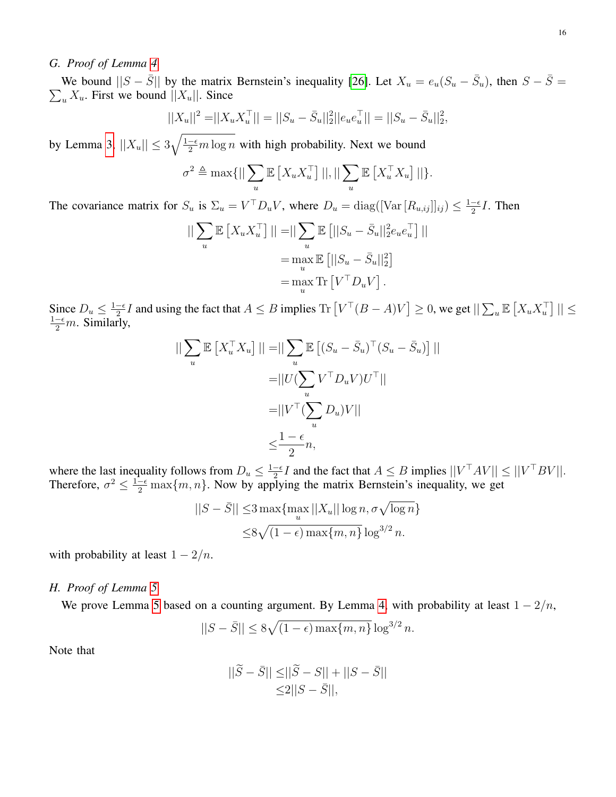# *G. Proof of Lemma [4](#page-9-0)*

We bound  $||S - \overline{S}||$  by the matrix Bernstein's inequality [\[26\]](#page-18-26). Let  $X_u = e_u(S_u - \overline{S}_u)$ , then  $S - \overline{S} = \sum_u X_u$ . First we bound  $||X_u||$ . Since  $\sum_{u} X_u$ . First we bound  $||X_u||$ . Since

$$
||X_u||^2 = ||X_u X_u^{\top}|| = ||S_u - \bar{S}_u||_2^2 ||e_u e_u^{\top}|| = ||S_u - \bar{S}_u||_2^2,
$$

by Lemma [3,](#page-8-1)  $||X_u|| \leq 3\sqrt{\frac{1-\epsilon}{2}m\log n}$  with high probability. Next we bound

$$
\sigma^2 \triangleq \max\{||\sum_{u} \mathbb{E}\left[X_u X_u^\top\right]||, ||\sum_{u} \mathbb{E}\left[X_u^\top X_u\right]||\}.
$$

The covariance matrix for  $S_u$  is  $\Sigma_u = V^\top D_u V$ , where  $D_u = \text{diag}([\text{Var}[R_{u,ij}]]_{ij}) \leq \frac{1-\epsilon}{2}$  $\frac{-\epsilon}{2}I$ . Then

$$
\begin{aligned} ||\sum_{u} \mathbb{E}\left[X_{u} X_{u}^{\top}\right]|| = ||\sum_{u} \mathbb{E}\left[||S_{u} - \bar{S}_{u}||_{2}^{2} e_{u} e_{u}^{\top}\right]|| \\ &= \max_{u} \mathbb{E}\left[||S_{u} - \bar{S}_{u}||_{2}^{2}\right] \\ &= \max_{u} \text{Tr}\left[V^{\top} D_{u} V\right]. \end{aligned}
$$

Since  $D_u \leq \frac{1-\epsilon}{2}$  $\frac{1}{2} \leq I$  and using the fact that  $A \leq B$  implies Tr  $[V^{\top}(B - A)V] \geq 0$ , we get  $||\sum_{u} \mathbb{E}[X_u X_u^{\top}]|| \leq 1$  $\frac{1-\epsilon}{2}m$ . Similarly,

$$
\|\sum_{u} \mathbb{E}\left[X_u^\top X_u\right] \| = \|\sum_{u} \mathbb{E}\left[(S_u - \bar{S}_u)^\top (S_u - \bar{S}_u)\right] \|
$$

$$
= \|U(\sum_{u} V^\top D_u V)U^\top\|
$$

$$
= \|V^\top (\sum_{u} D_u)V\|
$$

$$
\leq \frac{1 - \epsilon}{2}n,
$$

where the last inequality follows from  $D_u \leq \frac{1-\epsilon}{2}$  $\frac{-\epsilon}{2}I$  and the fact that  $A \leq B$  implies  $||V^\top A V|| \leq ||V^\top B V||$ . Therefore,  $\sigma^2 \leq \frac{1-\epsilon}{2} \max\{m, n\}$ . Now by applying the matrix Bernstein's inequality, we get

$$
||S - \bar{S}|| \le 3 \max \{ \max_u ||X_u|| \log n, \sigma \sqrt{\log n} \}
$$
  

$$
\le 8 \sqrt{(1 - \epsilon) \max \{m, n\}} \log^{3/2} n.
$$

with probability at least  $1 - 2/n$ .

# *H. Proof of Lemma [5](#page-9-2)*

We prove Lemma [5](#page-9-2) based on a counting argument. By Lemma [4,](#page-9-0) with probability at least  $1 - 2/n$ ,

$$
||S - \bar{S}|| \le 8\sqrt{(1 - \epsilon) \max\{m, n\}} \log^{3/2} n.
$$

Note that

$$
\begin{aligned} ||\widetilde{S} - \bar{S}|| \le ||\widetilde{S} - S|| + ||S - \bar{S}|| \\ \le 2||S - \bar{S}||, \end{aligned}
$$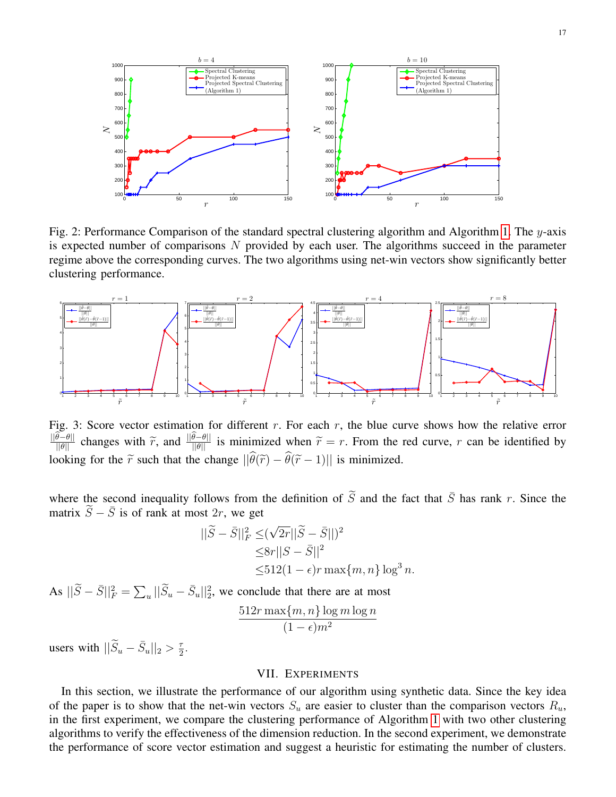<span id="page-16-1"></span>

Fig. 2: Performance Comparison of the standard spectral clustering algorithm and Algorithm [1.](#page-4-0) The y-axis is expected number of comparisons  $N$  provided by each user. The algorithms succeed in the parameter regime above the corresponding curves. The two algorithms using net-win vectors show significantly better clustering performance.

<span id="page-16-2"></span>

Fig. 3: Score vector estimation for different  $r$ . For each  $r$ , the blue curve shows how the relative error  $\frac{||\theta-\theta||}{||\theta||}$  changes with  $\widetilde{r}$ , and  $\frac{||\theta-\theta||}{||\theta||}$  is minimized when  $\widetilde{r}=r$ . From the red curve, r can be identified by looking for the  $\tilde{r}$  such that the change  $||\hat{\theta}(\tilde{r}) - \hat{\theta}(\tilde{r} - 1)||$  is minimized.

where the second inequality follows from the definition of  $\tilde{S}$  and the fact that  $\bar{S}$  has rank r. Since the matrix  $\tilde{S} - \bar{S}$  is of rank at most 2r, we get

$$
\begin{aligned} ||\widetilde{S} - \bar{S}||_F^2 &\leq (\sqrt{2r}||\widetilde{S} - \bar{S}||)^2 \\ &\leq 8r||S - \bar{S}||^2 \\ &\leq 512(1 - \epsilon)r \max\{m, n\} \log^3 n. \end{aligned}
$$

As  $||\widetilde{S} - \overline{S}||_F^2 = \sum_u ||\widetilde{S}_u - \overline{S}_u||_2^2$ , we conclude that there are at most

$$
\frac{512r \max\{m, n\} \log m \log n}{(1 - \epsilon)m^2}
$$

users with  $\|\widetilde{S}_u - \bar{S}_u\|_2 > \frac{\tau}{2}$  $\frac{\tau}{2}$ .

## VII. EXPERIMENTS

<span id="page-16-0"></span>In this section, we illustrate the performance of our algorithm using synthetic data. Since the key idea of the paper is to show that the net-win vectors  $S_u$  are easier to cluster than the comparison vectors  $R_u$ , in the first experiment, we compare the clustering performance of Algorithm [1](#page-4-0) with two other clustering algorithms to verify the effectiveness of the dimension reduction. In the second experiment, we demonstrate the performance of score vector estimation and suggest a heuristic for estimating the number of clusters.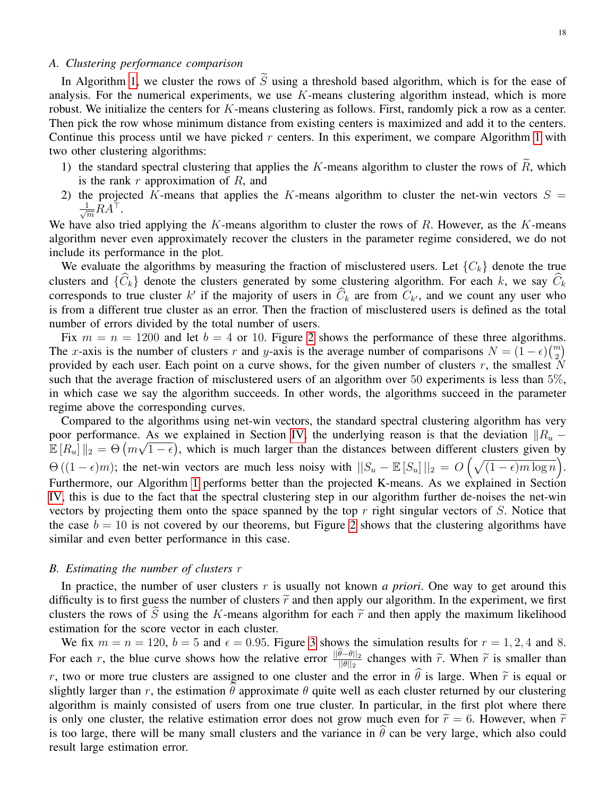# *A. Clustering performance comparison*

In Algorithm [1,](#page-4-0) we cluster the rows of  $\tilde{S}$  using a threshold based algorithm, which is for the ease of analysis. For the numerical experiments, we use  $K$ -means clustering algorithm instead, which is more robust. We initialize the centers for  $K$ -means clustering as follows. First, randomly pick a row as a center. Then pick the row whose minimum distance from existing centers is maximized and add it to the centers. Continue this process until we have picked  $r$  centers. In this experiment, we compare Algorithm [1](#page-4-0) with two other clustering algorithms:

- 1) the standard spectral clustering that applies the K-means algorithm to cluster the rows of  $\widetilde{R}$ , which is the rank  $r$  approximation of  $R$ , and
- 2) the projected K-means that applies the K-means algorithm to cluster the net-win vectors  $S =$  $\frac{1}{\sqrt{m}}RA^{\top}$ .

We have also tried applying the  $K$ -means algorithm to cluster the rows of  $R$ . However, as the  $K$ -means algorithm never even approximately recover the clusters in the parameter regime considered, we do not include its performance in the plot.

We evaluate the algorithms by measuring the fraction of misclustered users. Let  ${C_k}$  denote the true clusters and  $\{\widehat{C}_k\}$  denote the clusters generated by some clustering algorithm. For each k, we say  $\widehat{C}_k$ corresponds to true cluster k' if the majority of users in  $\hat{C}_k$  are from  $C_{k'}$ , and we count any user who is from a different true cluster as an error. Then the fraction of misclustered users is defined as the total number of errors divided by the total number of users.

Fix  $m = n = 1200$  and let  $b = 4$  or 10. Figure [2](#page-16-1) shows the performance of these three algorithms. The x-axis is the number of clusters r and y-axis is the average number of comparisons  $N = (1 - \epsilon) {m \choose 2}$ provided by each user. Each point on a curve shows, for the given number of clusters  $r$ , the smallest  $\dot{N}$ such that the average fraction of misclustered users of an algorithm over 50 experiments is less than 5%, in which case we say the algorithm succeeds. In other words, the algorithms succeed in the parameter regime above the corresponding curves.

Compared to the algorithms using net-win vectors, the standard spectral clustering algorithm has very poor performance. As we explained in Section [IV,](#page-6-0) the underlying reason is that the deviation  $||R_u - E||$  $\mathbb{E}[R_u] \|_2 = \Theta(m\sqrt{1-\epsilon})$ , which is much larger than the distances between different clusters given by  $\Theta((1 - \epsilon)m)$ ; the net-win vectors are much less noisy with  $||S_u - \mathbb{E}[S_u]||_2 = O\left(\sqrt{(1 - \epsilon)m \log n}\right)$ . Furthermore, our Algorithm [1](#page-4-0) performs better than the projected K-means. As we explained in Section [IV,](#page-6-0) this is due to the fact that the spectral clustering step in our algorithm further de-noises the net-win vectors by projecting them onto the space spanned by the top  $r$  right singular vectors of  $S$ . Notice that the case  $b = 10$  is not covered by our theorems, but Figure [2](#page-16-1) shows that the clustering algorithms have similar and even better performance in this case.

## *B. Estimating the number of clusters* r

In practice, the number of user clusters r is usually not known *a priori*. One way to get around this difficulty is to first guess the number of clusters  $\tilde{r}$  and then apply our algorithm. In the experiment, we first clusters the rows of S using the K-means algorithm for each  $\tilde{r}$  and then apply the maximum likelihood estimation for the score vector in each cluster.

We fix  $m = n = 120$ ,  $b = 5$  and  $\epsilon = 0.95$ . Figure [3](#page-16-2) shows the simulation results for  $r = 1, 2, 4$  and 8. For each r, the blue curve shows how the relative error  $\frac{\|\theta-\theta\|_2}{\|\theta\|_2}$  changes with  $\tilde{r}$ . When  $\tilde{r}$  is smaller than r, two or more true clusters are assigned to one cluster and the error in  $\hat{\theta}$  is large. When  $\tilde{r}$  is equal or slightly larger than r, the estimation  $\theta$  approximate  $\theta$  quite well as each cluster returned by our clustering algorithm is mainly consisted of users from one true cluster. In particular, in the first plot where there is only one cluster, the relative estimation error does not grow much even for  $\tilde{r} = 6$ . However, when  $\tilde{r}$ is too large, there will be many small clusters and the variance in  $\theta$  can be very large, which also could result large estimation error.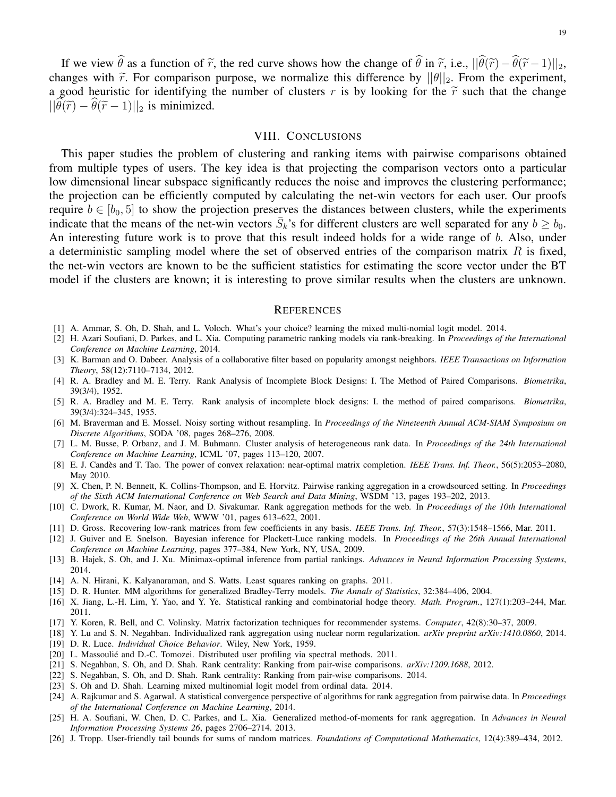If we view  $\hat{\theta}$  as a function of  $\tilde{r}$ , the red curve shows how the change of  $\hat{\theta}$  in  $\tilde{r}$ , i.e.,  $||\hat{\theta}(\tilde{r}) - \hat{\theta}(\tilde{r}-1)||_2$ , changes with  $\tilde{r}$ . For comparison purpose, we normalize this difference by  $||\theta||_2$ . From the experiment, a good heuristic for identifying the number of clusters r is by looking for the  $\tilde{r}$  such that the change  $||\widehat{\theta}(\widetilde{r}) - \widehat{\theta}(\widetilde{r} - 1)||_2$  is minimized.

#### VIII. CONCLUSIONS

<span id="page-18-24"></span>This paper studies the problem of clustering and ranking items with pairwise comparisons obtained from multiple types of users. The key idea is that projecting the comparison vectors onto a particular low dimensional linear subspace significantly reduces the noise and improves the clustering performance; the projection can be efficiently computed by calculating the net-win vectors for each user. Our proofs require  $b \in [b_0, 5]$  to show the projection preserves the distances between clusters, while the experiments indicate that the means of the net-win vectors  $\bar{S}_k$ 's for different clusters are well separated for any  $b \ge b_0$ . An interesting future work is to prove that this result indeed holds for a wide range of b. Also, under a deterministic sampling model where the set of observed entries of the comparison matrix  $R$  is fixed, the net-win vectors are known to be the sufficient statistics for estimating the score vector under the BT model if the clusters are known; it is interesting to prove similar results when the clusters are unknown.

#### **REFERENCES**

- <span id="page-18-2"></span>[1] A. Ammar, S. Oh, D. Shah, and L. Voloch. What's your choice? learning the mixed multi-nomial logit model. 2014.
- <span id="page-18-11"></span>[2] H. Azari Soufiani, D. Parkes, and L. Xia. Computing parametric ranking models via rank-breaking. In *Proceedings of the International Conference on Machine Learning*, 2014.
- <span id="page-18-22"></span>[3] K. Barman and O. Dabeer. Analysis of a collaborative filter based on popularity amongst neighbors. *IEEE Transactions on Information Theory*, 58(12):7110–7134, 2012.
- <span id="page-18-0"></span>[4] R. A. Bradley and M. E. Terry. Rank Analysis of Incomplete Block Designs: I. The Method of Paired Comparisons. *Biometrika*, 39(3/4), 1952.
- <span id="page-18-9"></span>[5] R. A. Bradley and M. E. Terry. Rank analysis of incomplete block designs: I. the method of paired comparisons. *Biometrika*, 39(3/4):324–345, 1955.
- <span id="page-18-5"></span>[6] M. Braverman and E. Mossel. Noisy sorting without resampling. In *Proceedings of the Nineteenth Annual ACM-SIAM Symposium on Discrete Algorithms*, SODA '08, pages 268–276, 2008.
- <span id="page-18-18"></span>[7] L. M. Busse, P. Orbanz, and J. M. Buhmann. Cluster analysis of heterogeneous rank data. In *Proceedings of the 24th International Conference on Machine Learning*, ICML '07, pages 113–120, 2007.
- <span id="page-18-20"></span>[8] E. J. Candès and T. Tao. The power of convex relaxation: near-optimal matrix completion. IEEE Trans. Inf. Theor., 56(5):2053-2080, May 2010.
- <span id="page-18-6"></span>[9] X. Chen, P. N. Bennett, K. Collins-Thompson, and E. Horvitz. Pairwise ranking aggregation in a crowdsourced setting. In *Proceedings of the Sixth ACM International Conference on Web Search and Data Mining*, WSDM '13, pages 193–202, 2013.
- <span id="page-18-17"></span>[10] C. Dwork, R. Kumar, M. Naor, and D. Sivakumar. Rank aggregation methods for the web. In *Proceedings of the 10th International Conference on World Wide Web*, WWW '01, pages 613–622, 2001.
- <span id="page-18-25"></span>[11] D. Gross. Recovering low-rank matrices from few coefficients in any basis. *IEEE Trans. Inf. Theor.*, 57(3):1548–1566, Mar. 2011.
- <span id="page-18-12"></span>[12] J. Guiver and E. Snelson. Bayesian inference for Plackett-Luce ranking models. In *Proceedings of the 26th Annual International Conference on Machine Learning*, pages 377–384, New York, NY, USA, 2009.
- <span id="page-18-16"></span>[13] B. Hajek, S. Oh, and J. Xu. Minimax-optimal inference from partial rankings. *Advances in Neural Information Processing Systems*, 2014.
- <span id="page-18-7"></span>[14] A. N. Hirani, K. Kalyanaraman, and S. Watts. Least squares ranking on graphs. 2011.
- <span id="page-18-1"></span>[15] D. R. Hunter. MM algorithms for generalized Bradley-Terry models. *The Annals of Statistics*, 32:384–406, 2004.
- <span id="page-18-8"></span>[16] X. Jiang, L.-H. Lim, Y. Yao, and Y. Ye. Statistical ranking and combinatorial hodge theory. *Math. Program.*, 127(1):203–244, Mar. 2011.
- <span id="page-18-21"></span>[17] Y. Koren, R. Bell, and C. Volinsky. Matrix factorization techniques for recommender systems. *Computer*, 42(8):30–37, 2009.
- <span id="page-18-19"></span>[18] Y. Lu and S. N. Negahban. Individualized rank aggregation using nuclear norm regularization. *arXiv preprint arXiv:1410.0860*, 2014.
- <span id="page-18-10"></span>[19] D. R. Luce. *Individual Choice Behavior*. Wiley, New York, 1959.
- <span id="page-18-23"></span>[20] L. Massoulié and D.-C. Tomozei. Distributed user profiling via spectral methods. 2011.
- <span id="page-18-13"></span>[21] S. Negahban, S. Oh, and D. Shah. Rank centrality: Ranking from pair-wise comparisons. *arXiv:1209.1688*, 2012.
- <span id="page-18-4"></span>[22] S. Negahban, S. Oh, and D. Shah. Rank centrality: Ranking from pair-wise comparisons. 2014.
- <span id="page-18-3"></span>[23] S. Oh and D. Shah. Learning mixed multinomial logit model from ordinal data. 2014.
- <span id="page-18-14"></span>[24] A. Rajkumar and S. Agarwal. A statistical convergence perspective of algorithms for rank aggregation from pairwise data. In *Proceedings of the International Conference on Machine Learning*, 2014.
- <span id="page-18-15"></span>[25] H. A. Soufiani, W. Chen, D. C. Parkes, and L. Xia. Generalized method-of-moments for rank aggregation. In *Advances in Neural Information Processing Systems 26*, pages 2706–2714. 2013.
- <span id="page-18-26"></span>[26] J. Tropp. User-friendly tail bounds for sums of random matrices. *Foundations of Computational Mathematics*, 12(4):389–434, 2012.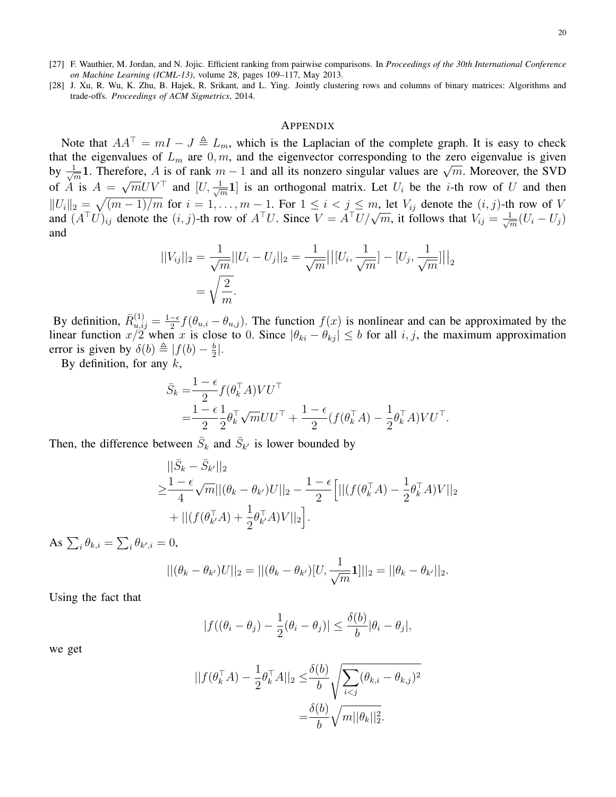- <span id="page-19-0"></span>[27] F. Wauthier, M. Jordan, and N. Jojic. Efficient ranking from pairwise comparisons. In *Proceedings of the 30th International Conference on Machine Learning (ICML-13)*, volume 28, pages 109–117, May 2013.
- <span id="page-19-1"></span>[28] J. Xu, R. Wu, K. Zhu, B. Hajek, R. Srikant, and L. Ying. Jointly clustering rows and columns of binary matrices: Algorithms and trade-offs. *Proceedings of ACM Sigmetrics*, 2014.

#### APPENDIX

Note that  $AA^{\dagger} = mI - J \triangleq L_m$ , which is the Laplacian of the complete graph. It is easy to check that the eigenvalues of  $L_m$  are  $0, m$ , and the eigenvector corresponding to the zero eigenvalue is given by  $\frac{1}{\sqrt{2}}$ the eigenvalues of  $L_m$  are  $0, m$ , and the eigenvector corresponding to the zero eigenvalue is given<br> $\frac{1}{m}$ 1. Therefore, A is of rank  $m - 1$  and all its nonzero singular values are  $\sqrt{m}$ . Moreover, the SVD of A is  $A =$  $\sqrt{m}UV^{\top}$  and  $[U, \frac{1}{\sqrt{N}}]$  $\frac{1}{m}$ 1] is an orthogonal matrix. Let  $U_i$  be the *i*-th row of U and then  $||U_i||_2 = \sqrt{(m-1)/m}$  for  $i = 1, ..., m-1$ . For  $1 \le i < j \le m$ , let  $V_{ij}$  denote the  $(i, j)$ -th row of  $V$  and  $(A^{\top}U)_{ij}$  denote the  $(i, j)$ -th row of  $A^{\top}U$ . Since  $V = A^{\top}U/\sqrt{m}$ , it follows that  $V_{ij} = \frac{1}{\sqrt{m}}(U_i - U_j)$ .  $\frac{1}{\overline{m}}(U_i-U_j)$ and

$$
||V_{ij}||_2 = \frac{1}{\sqrt{m}}||U_i - U_j||_2 = \frac{1}{\sqrt{m}}||[U_i, \frac{1}{\sqrt{m}}] - [U_j, \frac{1}{\sqrt{m}}]||_2
$$
  
=  $\sqrt{\frac{2}{m}}$ .

By definition,  $\bar{R}_{u,ij}^{(1)} = \frac{1-\epsilon}{2}$  $\frac{-\epsilon}{2} f(\theta_{u,i} - \theta_{u,j})$ . The function  $f(x)$  is nonlinear and can be approximated by the linear function  $x/2$  when x is close to 0. Since  $|\theta_{ki} - \theta_{kj}| \leq b$  for all  $i, j$ , the maximum approximation error is given by  $\delta(b) \triangleq |f(b) - \frac{b}{2}$  $\frac{b}{2}$ .

By definition, for any  $k$ ,

$$
\bar{S}_k = \frac{1-\epsilon}{2} f(\theta_k^{\top} A) V U^{\top} \n= \frac{1-\epsilon}{2} \frac{1}{2} \theta_k^{\top} \sqrt{m} U U^{\top} + \frac{1-\epsilon}{2} (f(\theta_k^{\top} A) - \frac{1}{2} \theta_k^{\top} A) V U^{\top}.
$$

Then, the difference between  $\bar{S}_k$  and  $\bar{S}_{k'}$  is lower bounded by

$$
\begin{split} &\|\bar{S}_k - \bar{S}_{k'}\|_2\\ \geq &\frac{1-\epsilon}{4}\sqrt{m}||(\theta_k - \theta_{k'})U||_2 - \frac{1-\epsilon}{2}\Big[||(f(\theta_k^{\top}A) - \frac{1}{2}\theta_k^{\top}A)V||_2\\ &+||(f(\theta_{k'}^{\top}A) + \frac{1}{2}\theta_{k'}^{\top}A)V||_2\Big]. \end{split}
$$

As  $\sum_i \theta_{k,i} = \sum_i \theta_{k',i} = 0$ ,

$$
||(\theta_k - \theta_{k'})U||_2 = ||(\theta_k - \theta_{k'})[U, \frac{1}{\sqrt{m}}\mathbf{1}]||_2 = ||\theta_k - \theta_{k'}||_2.
$$

Using the fact that

$$
|f((\theta_i - \theta_j) - \frac{1}{2}(\theta_i - \theta_j)| \leq \frac{\delta(b)}{b}|\theta_i - \theta_j|,
$$

we get

$$
||f(\theta_k^{\top} A) - \frac{1}{2} \theta_k^{\top} A||_2 \leq \frac{\delta(b)}{b} \sqrt{\sum_{i < j} (\theta_{k,i} - \theta_{k,j})^2}
$$
\n
$$
= \frac{\delta(b)}{b} \sqrt{m ||\theta_k||_2^2}.
$$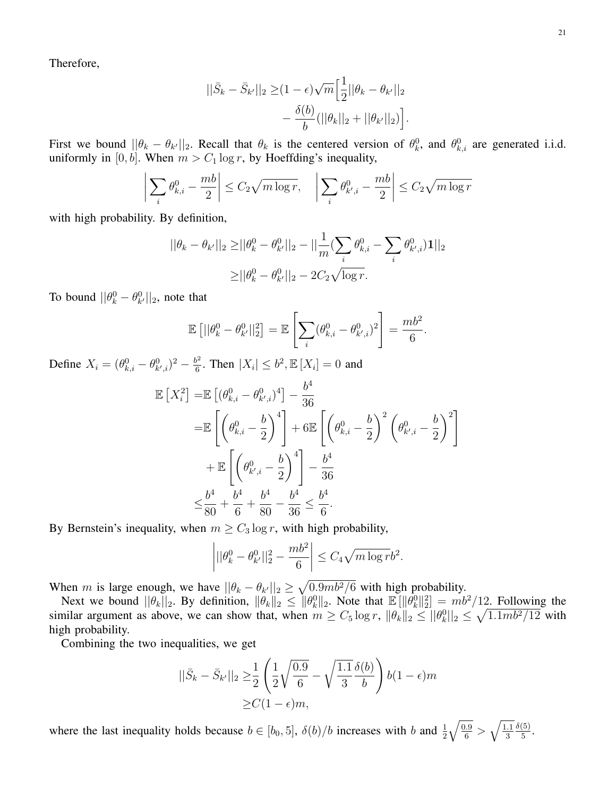Therefore,

$$
||\bar{S}_k - \bar{S}_{k'}||_2 \geq (1 - \epsilon)\sqrt{m} \Big[\frac{1}{2}||\theta_k - \theta_{k'}||_2 - \frac{\delta(b)}{b} (||\theta_k||_2 + ||\theta_{k'}||_2)\Big].
$$

First we bound  $||\theta_k - \theta_{k'}||_2$ . Recall that  $\theta_k$  is the centered version of  $\theta_k^0$ , and  $\theta_{k,i}^0$  are generated i.i.d. uniformly in [0, b]. When  $m > C_1 \log r$ , by Hoeffding's inequality,

$$
\left| \sum_{i} \theta_{k,i}^{0} - \frac{mb}{2} \right| \le C_2 \sqrt{m \log r}, \quad \left| \sum_{i} \theta_{k',i}^{0} - \frac{mb}{2} \right| \le C_2 \sqrt{m \log r}
$$

with high probability. By definition,

$$
||\theta_k - \theta_{k'}||_2 \ge ||\theta_k^0 - \theta_{k'}^0||_2 - ||\frac{1}{m} (\sum_i \theta_{k,i}^0 - \sum_i \theta_{k',i}^0) \mathbf{1}||_2
$$
  
 
$$
\ge ||\theta_k^0 - \theta_{k'}^0||_2 - 2C_2 \sqrt{\log r}.
$$

To bound  $||\theta_k^0 - \theta_{k'}^0||_2$ , note that

$$
\mathbb{E}\left[||\theta_k^0 - \theta_{k'}^0||_2^2\right] = \mathbb{E}\left[\sum_i (\theta_{k,i}^0 - \theta_{k',i}^0)^2\right] = \frac{mb^2}{6}.
$$

Define  $X_i = (\theta_{k,i}^0 - \theta_{k',i}^0)^2 - \frac{b^2}{6}$  $\frac{b^2}{6}$ . Then  $|X_i| \leq b^2$ ,  $\mathbb{E}[X_i] = 0$  and

$$
\mathbb{E}\left[X_i^2\right] = \mathbb{E}\left[(\theta_{k,i}^0 - \theta_{k',i}^0)^4\right] - \frac{b^4}{36} \n= \mathbb{E}\left[\left(\theta_{k,i}^0 - \frac{b}{2}\right)^4\right] + 6 \mathbb{E}\left[\left(\theta_{k,i}^0 - \frac{b}{2}\right)^2 \left(\theta_{k',i}^0 - \frac{b}{2}\right)^2\right] \n+ \mathbb{E}\left[\left(\theta_{k',i}^0 - \frac{b}{2}\right)^4\right] - \frac{b^4}{36} \n\leq \frac{b^4}{80} + \frac{b^4}{6} + \frac{b^4}{80} - \frac{b^4}{36} \leq \frac{b^4}{6}.
$$

By Bernstein's inequality, when  $m \geq C_3 \log r$ , with high probability,

$$
\left| ||\theta_k^0 - \theta_{k'}^0||_2^2 - \frac{mb^2}{6} \right| \le C_4 \sqrt{m \log r} b^2.
$$

When m is large enough, we have  $||\theta_k - \theta_{k'}||_2 \ge \sqrt{0.9mb^2/6}$  with high probability.

Next we bound  $||\theta_k||_2$ . By definition,  $||\theta_k||_2 \le ||\theta_k^0||_2$ . Note that  $\mathbb{E}[||\theta_k^0||_2^2] = mb^2/12$ . Following the similar argument as above, we can show that, when  $m \geq C_5 \log r$ ,  $\|\theta_k\|_2 \leq \|\theta_k^0\|_2 \leq \sqrt{1.1 mb^2/12}$  with high probability.

Combining the two inequalities, we get

$$
||\bar{S}_k - \bar{S}_{k'}||_2 \ge \frac{1}{2} \left( \frac{1}{2} \sqrt{\frac{0.9}{6}} - \sqrt{\frac{1.1}{3}} \frac{\delta(b)}{b} \right) b(1 - \epsilon)m
$$
  
 
$$
\ge C(1 - \epsilon)m,
$$

where the last inequality holds because  $b \in [b_0, 5]$ ,  $\delta(b)/b$  increases with b and  $\frac{1}{2}$  $\sqrt{\frac{0.9}{6}} > \sqrt{\frac{1.1}{3}}$ 3  $\delta(5)$  $\frac{(5)}{5}$ .